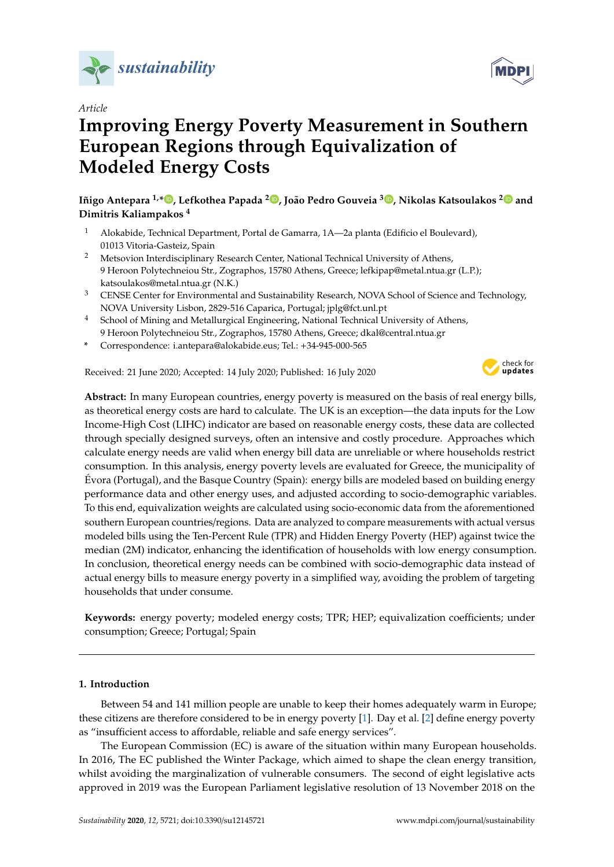

## *Article*

# **Improving Energy Poverty Measurement in Southern European Regions through Equivalization of Modeled Energy Costs**

**Iñigo Antepara 1,[\\*](https://orcid.org/0000-0001-8085-3529) , Lefkothea Papada <sup>2</sup> [,](https://orcid.org/0000-0002-8098-4251) João Pedro Gouveia <sup>3</sup> [,](https://orcid.org/0000-0002-7360-1363) Nikolas Katsoulakos [2](https://orcid.org/0000-0002-0676-2175) and Dimitris Kaliampakos <sup>4</sup>**

- <sup>1</sup> Alokabide, Technical Department, Portal de Gamarra, 1A—2a planta (Edificio el Boulevard), 01013 Vitoria-Gasteiz, Spain
- <sup>2</sup> Metsovion Interdisciplinary Research Center, National Technical University of Athens, 9 Heroon Polytechneiou Str., Zographos, 15780 Athens, Greece; lefkipap@metal.ntua.gr (L.P.); katsoulakos@metal.ntua.gr (N.K.)
- <sup>3</sup> CENSE Center for Environmental and Sustainability Research, NOVA School of Science and Technology, NOVA University Lisbon, 2829-516 Caparica, Portugal; jplg@fct.unl.pt
- <sup>4</sup> School of Mining and Metallurgical Engineering, National Technical University of Athens, 9 Heroon Polytechneiou Str., Zographos, 15780 Athens, Greece; dkal@central.ntua.gr
- **\*** Correspondence: i.antepara@alokabide.eus; Tel.: +34-945-000-565

Received: 21 June 2020; Accepted: 14 July 2020; Published: 16 July 2020



**Abstract:** In many European countries, energy poverty is measured on the basis of real energy bills, as theoretical energy costs are hard to calculate. The UK is an exception—the data inputs for the Low Income-High Cost (LIHC) indicator are based on reasonable energy costs, these data are collected through specially designed surveys, often an intensive and costly procedure. Approaches which calculate energy needs are valid when energy bill data are unreliable or where households restrict consumption. In this analysis, energy poverty levels are evaluated for Greece, the municipality of Évora (Portugal), and the Basque Country (Spain): energy bills are modeled based on building energy performance data and other energy uses, and adjusted according to socio-demographic variables. To this end, equivalization weights are calculated using socio-economic data from the aforementioned southern European countries/regions. Data are analyzed to compare measurements with actual versus modeled bills using the Ten-Percent Rule (TPR) and Hidden Energy Poverty (HEP) against twice the median (2M) indicator, enhancing the identification of households with low energy consumption. In conclusion, theoretical energy needs can be combined with socio-demographic data instead of actual energy bills to measure energy poverty in a simplified way, avoiding the problem of targeting households that under consume.

**Keywords:** energy poverty; modeled energy costs; TPR; HEP; equivalization coefficients; under consumption; Greece; Portugal; Spain

## **1. Introduction**

Between 54 and 141 million people are unable to keep their homes adequately warm in Europe; these citizens are therefore considered to be in energy poverty [\[1\]](#page-18-0). Day et al. [\[2\]](#page-18-1) define energy poverty as "insufficient access to affordable, reliable and safe energy services".

The European Commission (EC) is aware of the situation within many European households. In 2016, The EC published the Winter Package, which aimed to shape the clean energy transition, whilst avoiding the marginalization of vulnerable consumers. The second of eight legislative acts approved in 2019 was the European Parliament legislative resolution of 13 November 2018 on the

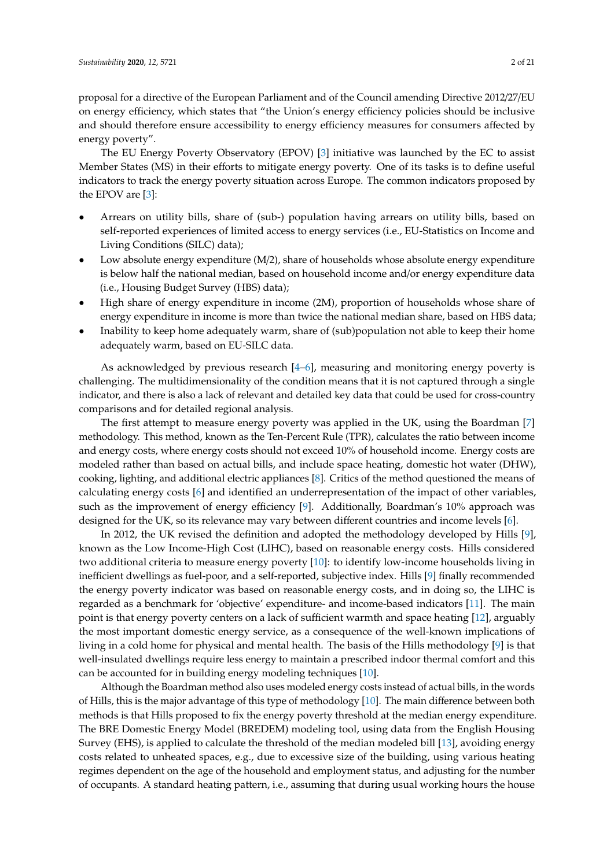proposal for a directive of the European Parliament and of the Council amending Directive 2012/27/EU on energy efficiency, which states that "the Union's energy efficiency policies should be inclusive and should therefore ensure accessibility to energy efficiency measures for consumers affected by energy poverty".

The EU Energy Poverty Observatory (EPOV) [\[3\]](#page-18-2) initiative was launched by the EC to assist Member States (MS) in their efforts to mitigate energy poverty. One of its tasks is to define useful indicators to track the energy poverty situation across Europe. The common indicators proposed by the EPOV are [\[3\]](#page-18-2):

- Arrears on utility bills, share of (sub-) population having arrears on utility bills, based on self-reported experiences of limited access to energy services (i.e., EU-Statistics on Income and Living Conditions (SILC) data);
- Low absolute energy expenditure  $(M/2)$ , share of households whose absolute energy expenditure is below half the national median, based on household income and/or energy expenditure data (i.e., Housing Budget Survey (HBS) data);
- High share of energy expenditure in income (2M), proportion of households whose share of energy expenditure in income is more than twice the national median share, based on HBS data;
- Inability to keep home adequately warm, share of (sub)population not able to keep their home adequately warm, based on EU-SILC data.

As acknowledged by previous research [\[4–](#page-18-3)[6\]](#page-18-4), measuring and monitoring energy poverty is challenging. The multidimensionality of the condition means that it is not captured through a single indicator, and there is also a lack of relevant and detailed key data that could be used for cross-country comparisons and for detailed regional analysis.

The first attempt to measure energy poverty was applied in the UK, using the Boardman [\[7\]](#page-18-5) methodology. This method, known as the Ten-Percent Rule (TPR), calculates the ratio between income and energy costs, where energy costs should not exceed 10% of household income. Energy costs are modeled rather than based on actual bills, and include space heating, domestic hot water (DHW), cooking, lighting, and additional electric appliances [\[8\]](#page-18-6). Critics of the method questioned the means of calculating energy costs [\[6\]](#page-18-4) and identified an underrepresentation of the impact of other variables, such as the improvement of energy efficiency [\[9\]](#page-18-7). Additionally, Boardman's 10% approach was designed for the UK, so its relevance may vary between different countries and income levels [\[6\]](#page-18-4).

In 2012, the UK revised the definition and adopted the methodology developed by Hills [\[9\]](#page-18-7), known as the Low Income-High Cost (LIHC), based on reasonable energy costs. Hills considered two additional criteria to measure energy poverty [\[10\]](#page-18-8): to identify low-income households living in inefficient dwellings as fuel-poor, and a self-reported, subjective index. Hills [\[9\]](#page-18-7) finally recommended the energy poverty indicator was based on reasonable energy costs, and in doing so, the LIHC is regarded as a benchmark for 'objective' expenditure- and income-based indicators [\[11\]](#page-18-9). The main point is that energy poverty centers on a lack of sufficient warmth and space heating [\[12\]](#page-18-10), arguably the most important domestic energy service, as a consequence of the well-known implications of living in a cold home for physical and mental health. The basis of the Hills methodology [\[9\]](#page-18-7) is that well-insulated dwellings require less energy to maintain a prescribed indoor thermal comfort and this can be accounted for in building energy modeling techniques [\[10\]](#page-18-8).

Although the Boardman method also uses modeled energy costs instead of actual bills, in the words of Hills, this is the major advantage of this type of methodology [\[10\]](#page-18-8). The main difference between both methods is that Hills proposed to fix the energy poverty threshold at the median energy expenditure. The BRE Domestic Energy Model (BREDEM) modeling tool, using data from the English Housing Survey (EHS), is applied to calculate the threshold of the median modeled bill [\[13\]](#page-18-11), avoiding energy costs related to unheated spaces, e.g., due to excessive size of the building, using various heating regimes dependent on the age of the household and employment status, and adjusting for the number of occupants. A standard heating pattern, i.e., assuming that during usual working hours the house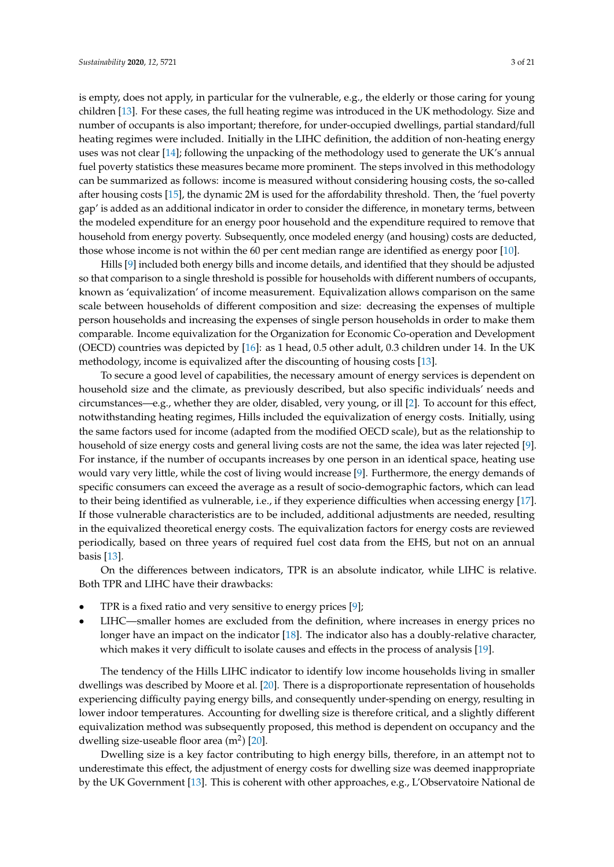is empty, does not apply, in particular for the vulnerable, e.g., the elderly or those caring for young children [\[13\]](#page-18-11). For these cases, the full heating regime was introduced in the UK methodology. Size and number of occupants is also important; therefore, for under-occupied dwellings, partial standard/full heating regimes were included. Initially in the LIHC definition, the addition of non-heating energy uses was not clear [\[14\]](#page-18-12); following the unpacking of the methodology used to generate the UK's annual fuel poverty statistics these measures became more prominent. The steps involved in this methodology can be summarized as follows: income is measured without considering housing costs, the so-called after housing costs [\[15\]](#page-18-13), the dynamic 2M is used for the affordability threshold. Then, the 'fuel poverty gap' is added as an additional indicator in order to consider the difference, in monetary terms, between the modeled expenditure for an energy poor household and the expenditure required to remove that household from energy poverty. Subsequently, once modeled energy (and housing) costs are deducted, those whose income is not within the 60 per cent median range are identified as energy poor [\[10\]](#page-18-8).

Hills [\[9\]](#page-18-7) included both energy bills and income details, and identified that they should be adjusted so that comparison to a single threshold is possible for households with different numbers of occupants, known as 'equivalization' of income measurement. Equivalization allows comparison on the same scale between households of different composition and size: decreasing the expenses of multiple person households and increasing the expenses of single person households in order to make them comparable. Income equivalization for the Organization for Economic Co-operation and Development (OECD) countries was depicted by [\[16\]](#page-19-0): as 1 head, 0.5 other adult, 0.3 children under 14. In the UK methodology, income is equivalized after the discounting of housing costs [\[13\]](#page-18-11).

To secure a good level of capabilities, the necessary amount of energy services is dependent on household size and the climate, as previously described, but also specific individuals' needs and circumstances—e.g., whether they are older, disabled, very young, or ill [\[2\]](#page-18-1). To account for this effect, notwithstanding heating regimes, Hills included the equivalization of energy costs. Initially, using the same factors used for income (adapted from the modified OECD scale), but as the relationship to household of size energy costs and general living costs are not the same, the idea was later rejected [\[9\]](#page-18-7). For instance, if the number of occupants increases by one person in an identical space, heating use would vary very little, while the cost of living would increase [\[9\]](#page-18-7). Furthermore, the energy demands of specific consumers can exceed the average as a result of socio-demographic factors, which can lead to their being identified as vulnerable, i.e., if they experience difficulties when accessing energy [\[17\]](#page-19-1). If those vulnerable characteristics are to be included, additional adjustments are needed, resulting in the equivalized theoretical energy costs. The equivalization factors for energy costs are reviewed periodically, based on three years of required fuel cost data from the EHS, but not on an annual basis [\[13\]](#page-18-11).

On the differences between indicators, TPR is an absolute indicator, while LIHC is relative. Both TPR and LIHC have their drawbacks:

- TPR is a fixed ratio and very sensitive to energy prices [\[9\]](#page-18-7);
- LIHC—smaller homes are excluded from the definition, where increases in energy prices no longer have an impact on the indicator [\[18\]](#page-19-2). The indicator also has a doubly-relative character, which makes it very difficult to isolate causes and effects in the process of analysis [\[19\]](#page-19-3).

The tendency of the Hills LIHC indicator to identify low income households living in smaller dwellings was described by Moore et al. [\[20\]](#page-19-4). There is a disproportionate representation of households experiencing difficulty paying energy bills, and consequently under-spending on energy, resulting in lower indoor temperatures. Accounting for dwelling size is therefore critical, and a slightly different equivalization method was subsequently proposed, this method is dependent on occupancy and the dwelling size-useable floor area  $(m^2)$  [\[20\]](#page-19-4).

Dwelling size is a key factor contributing to high energy bills, therefore, in an attempt not to underestimate this effect, the adjustment of energy costs for dwelling size was deemed inappropriate by the UK Government [\[13\]](#page-18-11). This is coherent with other approaches, e.g., L'Observatoire National de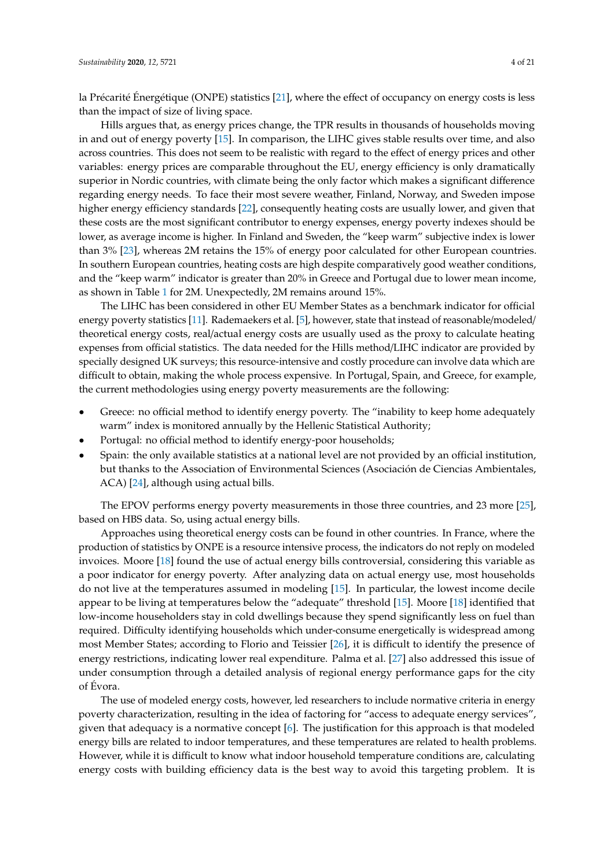la Précarité Énergétique (ONPE) statistics [\[21\]](#page-19-5), where the effect of occupancy on energy costs is less than the impact of size of living space.

Hills argues that, as energy prices change, the TPR results in thousands of households moving in and out of energy poverty [\[15\]](#page-18-13). In comparison, the LIHC gives stable results over time, and also across countries. This does not seem to be realistic with regard to the effect of energy prices and other variables: energy prices are comparable throughout the EU, energy efficiency is only dramatically superior in Nordic countries, with climate being the only factor which makes a significant difference regarding energy needs. To face their most severe weather, Finland, Norway, and Sweden impose higher energy efficiency standards [\[22\]](#page-19-6), consequently heating costs are usually lower, and given that these costs are the most significant contributor to energy expenses, energy poverty indexes should be lower, as average income is higher. In Finland and Sweden, the "keep warm" subjective index is lower than 3% [\[23\]](#page-19-7), whereas 2M retains the 15% of energy poor calculated for other European countries. In southern European countries, heating costs are high despite comparatively good weather conditions, and the "keep warm" indicator is greater than 20% in Greece and Portugal due to lower mean income, as shown in Table [1](#page-6-0) for 2M. Unexpectedly, 2M remains around 15%.

The LIHC has been considered in other EU Member States as a benchmark indicator for official energy poverty statistics [\[11\]](#page-18-9). Rademaekers et al. [\[5\]](#page-18-14), however, state that instead of reasonable/modeled/ theoretical energy costs, real/actual energy costs are usually used as the proxy to calculate heating expenses from official statistics. The data needed for the Hills method/LIHC indicator are provided by specially designed UK surveys; this resource-intensive and costly procedure can involve data which are difficult to obtain, making the whole process expensive. In Portugal, Spain, and Greece, for example, the current methodologies using energy poverty measurements are the following:

- Greece: no official method to identify energy poverty. The "inability to keep home adequately warm" index is monitored annually by the Hellenic Statistical Authority;
- Portugal: no official method to identify energy-poor households;
- Spain: the only available statistics at a national level are not provided by an official institution, but thanks to the Association of Environmental Sciences (Asociación de Ciencias Ambientales, ACA) [\[24\]](#page-19-8), although using actual bills.

The EPOV performs energy poverty measurements in those three countries, and 23 more [\[25\]](#page-19-9), based on HBS data. So, using actual energy bills.

Approaches using theoretical energy costs can be found in other countries. In France, where the production of statistics by ONPE is a resource intensive process, the indicators do not reply on modeled invoices. Moore [\[18\]](#page-19-2) found the use of actual energy bills controversial, considering this variable as a poor indicator for energy poverty. After analyzing data on actual energy use, most households do not live at the temperatures assumed in modeling [\[15\]](#page-18-13). In particular, the lowest income decile appear to be living at temperatures below the "adequate" threshold [\[15\]](#page-18-13). Moore [\[18\]](#page-19-2) identified that low-income householders stay in cold dwellings because they spend significantly less on fuel than required. Difficulty identifying households which under-consume energetically is widespread among most Member States; according to Florio and Teissier [\[26\]](#page-19-10), it is difficult to identify the presence of energy restrictions, indicating lower real expenditure. Palma et al. [\[27\]](#page-19-11) also addressed this issue of under consumption through a detailed analysis of regional energy performance gaps for the city of Évora.

The use of modeled energy costs, however, led researchers to include normative criteria in energy poverty characterization, resulting in the idea of factoring for "access to adequate energy services", given that adequacy is a normative concept  $[6]$ . The justification for this approach is that modeled energy bills are related to indoor temperatures, and these temperatures are related to health problems. However, while it is difficult to know what indoor household temperature conditions are, calculating energy costs with building efficiency data is the best way to avoid this targeting problem. It is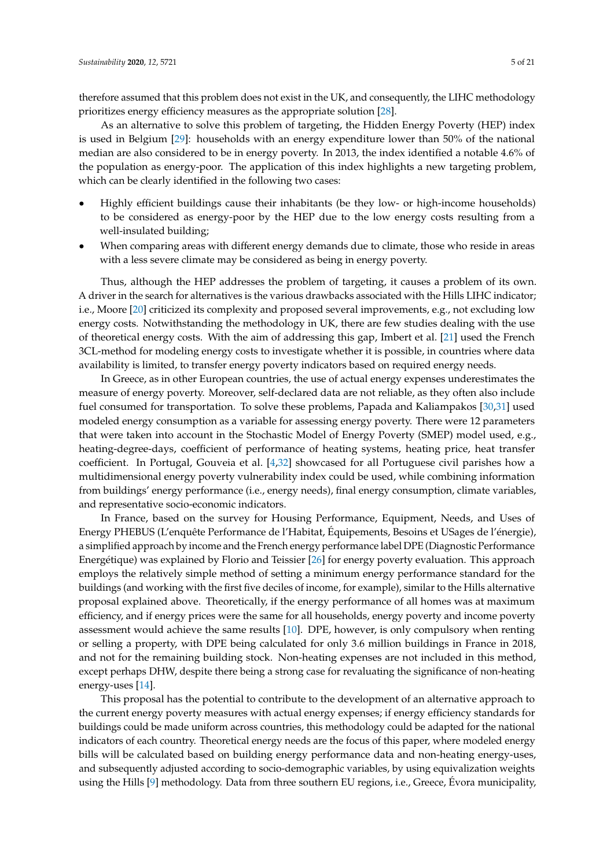therefore assumed that this problem does not exist in the UK, and consequently, the LIHC methodology prioritizes energy efficiency measures as the appropriate solution [\[28\]](#page-19-12).

As an alternative to solve this problem of targeting, the Hidden Energy Poverty (HEP) index is used in Belgium [\[29\]](#page-19-13): households with an energy expenditure lower than 50% of the national median are also considered to be in energy poverty. In 2013, the index identified a notable 4.6% of the population as energy-poor. The application of this index highlights a new targeting problem, which can be clearly identified in the following two cases:

- Highly efficient buildings cause their inhabitants (be they low- or high-income households) to be considered as energy-poor by the HEP due to the low energy costs resulting from a well-insulated building;
- When comparing areas with different energy demands due to climate, those who reside in areas with a less severe climate may be considered as being in energy poverty.

Thus, although the HEP addresses the problem of targeting, it causes a problem of its own. A driver in the search for alternatives is the various drawbacks associated with the Hills LIHC indicator; i.e., Moore [\[20\]](#page-19-4) criticized its complexity and proposed several improvements, e.g., not excluding low energy costs. Notwithstanding the methodology in UK, there are few studies dealing with the use of theoretical energy costs. With the aim of addressing this gap, Imbert et al. [\[21\]](#page-19-5) used the French 3CL-method for modeling energy costs to investigate whether it is possible, in countries where data availability is limited, to transfer energy poverty indicators based on required energy needs.

In Greece, as in other European countries, the use of actual energy expenses underestimates the measure of energy poverty. Moreover, self-declared data are not reliable, as they often also include fuel consumed for transportation. To solve these problems, Papada and Kaliampakos [\[30,](#page-19-14)[31\]](#page-19-15) used modeled energy consumption as a variable for assessing energy poverty. There were 12 parameters that were taken into account in the Stochastic Model of Energy Poverty (SMEP) model used, e.g., heating-degree-days, coefficient of performance of heating systems, heating price, heat transfer coefficient. In Portugal, Gouveia et al. [\[4,](#page-18-3)[32\]](#page-19-16) showcased for all Portuguese civil parishes how a multidimensional energy poverty vulnerability index could be used, while combining information from buildings' energy performance (i.e., energy needs), final energy consumption, climate variables, and representative socio-economic indicators.

In France, based on the survey for Housing Performance, Equipment, Needs, and Uses of Energy PHEBUS (L'enquête Performance de l'Habitat, Équipements, Besoins et USages de l'énergie), a simplified approach by income and the French energy performance label DPE (Diagnostic Performance Energétique) was explained by Florio and Teissier [\[26\]](#page-19-10) for energy poverty evaluation. This approach employs the relatively simple method of setting a minimum energy performance standard for the buildings (and working with the first five deciles of income, for example), similar to the Hills alternative proposal explained above. Theoretically, if the energy performance of all homes was at maximum efficiency, and if energy prices were the same for all households, energy poverty and income poverty assessment would achieve the same results [\[10\]](#page-18-8). DPE, however, is only compulsory when renting or selling a property, with DPE being calculated for only 3.6 million buildings in France in 2018, and not for the remaining building stock. Non-heating expenses are not included in this method, except perhaps DHW, despite there being a strong case for revaluating the significance of non-heating energy-uses [\[14\]](#page-18-12).

This proposal has the potential to contribute to the development of an alternative approach to the current energy poverty measures with actual energy expenses; if energy efficiency standards for buildings could be made uniform across countries, this methodology could be adapted for the national indicators of each country. Theoretical energy needs are the focus of this paper, where modeled energy bills will be calculated based on building energy performance data and non-heating energy-uses, and subsequently adjusted according to socio-demographic variables, by using equivalization weights using the Hills [\[9\]](#page-18-7) methodology. Data from three southern EU regions, i.e., Greece, Évora municipality,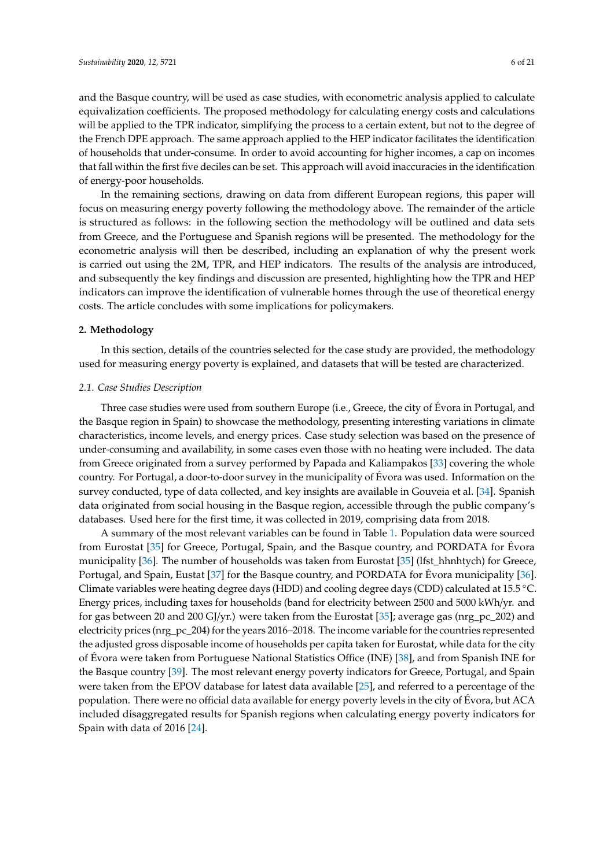and the Basque country, will be used as case studies, with econometric analysis applied to calculate equivalization coefficients. The proposed methodology for calculating energy costs and calculations

will be applied to the TPR indicator, simplifying the process to a certain extent, but not to the degree of the French DPE approach. The same approach applied to the HEP indicator facilitates the identification of households that under-consume. In order to avoid accounting for higher incomes, a cap on incomes that fall within the first five deciles can be set. This approach will avoid inaccuracies in the identification of energy-poor households.

In the remaining sections, drawing on data from different European regions, this paper will focus on measuring energy poverty following the methodology above. The remainder of the article is structured as follows: in the following section the methodology will be outlined and data sets from Greece, and the Portuguese and Spanish regions will be presented. The methodology for the econometric analysis will then be described, including an explanation of why the present work is carried out using the 2M, TPR, and HEP indicators. The results of the analysis are introduced, and subsequently the key findings and discussion are presented, highlighting how the TPR and HEP indicators can improve the identification of vulnerable homes through the use of theoretical energy costs. The article concludes with some implications for policymakers.

#### **2. Methodology**

In this section, details of the countries selected for the case study are provided, the methodology used for measuring energy poverty is explained, and datasets that will be tested are characterized.

#### *2.1. Case Studies Description*

Three case studies were used from southern Europe (i.e., Greece, the city of Évora in Portugal, and the Basque region in Spain) to showcase the methodology, presenting interesting variations in climate characteristics, income levels, and energy prices. Case study selection was based on the presence of under-consuming and availability, in some cases even those with no heating were included. The data from Greece originated from a survey performed by Papada and Kaliampakos [\[33\]](#page-19-17) covering the whole country. For Portugal, a door-to-door survey in the municipality of Évora was used. Information on the survey conducted, type of data collected, and key insights are available in Gouveia et al. [\[34\]](#page-19-18). Spanish data originated from social housing in the Basque region, accessible through the public company's databases. Used here for the first time, it was collected in 2019, comprising data from 2018.

A summary of the most relevant variables can be found in Table [1.](#page-6-0) Population data were sourced from Eurostat [\[35\]](#page-19-19) for Greece, Portugal, Spain, and the Basque country, and PORDATA for Évora municipality [\[36\]](#page-19-20). The number of households was taken from Eurostat [\[35\]](#page-19-19) (lfst\_hhnhtych) for Greece, Portugal, and Spain, Eustat [\[37\]](#page-19-21) for the Basque country, and PORDATA for Évora municipality [\[36\]](#page-19-20). Climate variables were heating degree days (HDD) and cooling degree days (CDD) calculated at 15.5 ◦C. Energy prices, including taxes for households (band for electricity between 2500 and 5000 kWh/yr. and for gas between 20 and 200 GJ/yr.) were taken from the Eurostat [\[35\]](#page-19-19); average gas (nrg\_pc\_202) and electricity prices (nrg\_pc\_204) for the years 2016–2018. The income variable for the countries represented the adjusted gross disposable income of households per capita taken for Eurostat, while data for the city of Évora were taken from Portuguese National Statistics Office (INE) [\[38\]](#page-19-22), and from Spanish INE for the Basque country [\[39\]](#page-19-23). The most relevant energy poverty indicators for Greece, Portugal, and Spain were taken from the EPOV database for latest data available [\[25\]](#page-19-9), and referred to a percentage of the population. There were no official data available for energy poverty levels in the city of Évora, but ACA included disaggregated results for Spanish regions when calculating energy poverty indicators for Spain with data of 2016 [\[24\]](#page-19-8).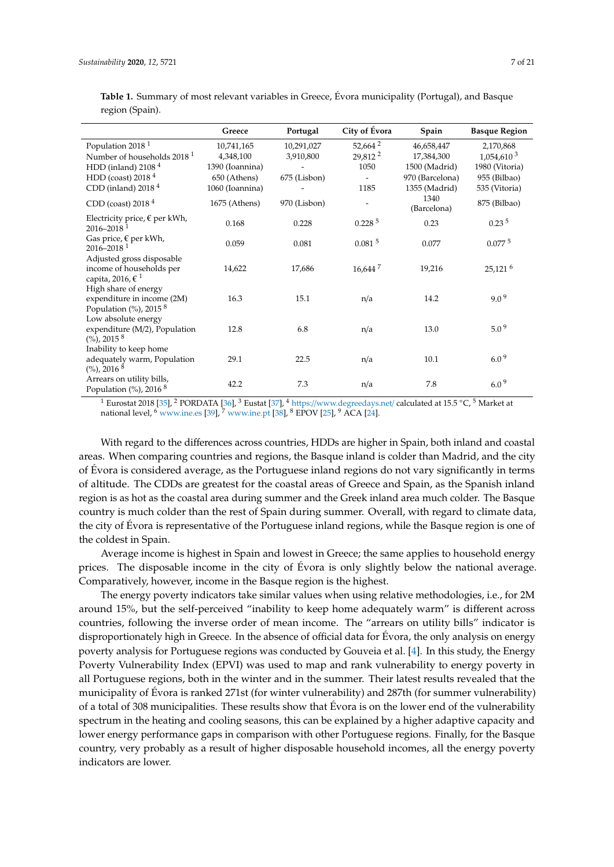|                                                                                           | Greece          | Portugal     | City of Évora            | Spain               | <b>Basque Region</b>   |
|-------------------------------------------------------------------------------------------|-----------------|--------------|--------------------------|---------------------|------------------------|
| Population 2018 <sup>1</sup>                                                              | 10,741,165      | 10,291,027   | 52,664 <sup>2</sup>      | 46,658,447          | 2,170,868              |
| Number of households 2018 <sup>1</sup>                                                    | 4,348,100       | 3,910,800    | 29,812 <sup>2</sup>      | 17,384,300          | 1,054,610 <sup>3</sup> |
| HDD (inland) $21084$                                                                      | 1390 (Ioannina) |              | 1050                     | 1500 (Madrid)       | 1980 (Vitoria)         |
| HDD (coast) $20184$                                                                       | 650 (Athens)    | 675 (Lisbon) |                          | 970 (Barcelona)     | 955 (Bilbao)           |
| CDD (inland) $20184$                                                                      | 1060 (Ioannina) |              | 1185                     | 1355 (Madrid)       | 535 (Vitoria)          |
| CDD (coast) $20184$                                                                       | 1675 (Athens)   | 970 (Lisbon) | $\overline{\phantom{a}}$ | 1340<br>(Barcelona) | 875 (Bilbao)           |
| Electricity price, $€$ per kWh,<br>$2016 - 2018$ <sup>1</sup>                             | 0.168           | 0.228        | 0.228 <sup>5</sup>       | 0.23                | 0.23 <sup>5</sup>      |
| Gas price, $\epsilon$ per kWh,<br>$2016 - 2018$ <sup>1</sup>                              | 0.059           | 0.081        | $0.081$ <sup>5</sup>     | 0.077               | $0.077\,{}^{5}$        |
| Adjusted gross disposable<br>income of households per<br>capita, 2016, $\xi$ <sup>1</sup> | 14,622          | 17,686       | $16,644$ <sup>7</sup>    | 19,216              | 25,121 $^6$            |
| High share of energy<br>expenditure in income (2M)<br>Population $(\%)$ , 2015 $8$        | 16.3            | 15.1         | n/a                      | 14.2                | 9.0 <sup>9</sup>       |
| Low absolute energy<br>expenditure (M/2), Population<br>$(\%)$ , 2015 $8$                 | 12.8            | 6.8          | n/a                      | 13.0                | 5.0 <sup>9</sup>       |
| Inability to keep home<br>adequately warm, Population<br>$(\%)$ , 2016 <sup>8</sup>       | 29.1            | 22.5         | n/a                      | 10.1                | 6.0 <sup>9</sup>       |
| Arrears on utility bills,<br>Population $(\%)$ , 2016 <sup>8</sup>                        | 42.2            | 7.3          | n/a                      | 7.8                 | $6.0\,$ $^9$           |

<span id="page-6-0"></span>**Table 1.** Summary of most relevant variables in Greece, Évora municipality (Portugal), and Basque region (Spain).

<sup>1</sup> Eurostat 2018 [\[35\]](#page-19-19), <sup>2</sup> PORDATA [\[36\]](#page-19-20), <sup>3</sup> Eustat [\[37\]](#page-19-21), <sup>4</sup> https://[www.degreedays.net](https://www.degreedays.net/)/ calculated at 15.5 °C, <sup>5</sup> Market at national level,  $^6$  <www.ine.es> [\[39\]](#page-19-23),  $^7$  <www.ine.pt> [\[38\]](#page-19-22),  $^8$  EPOV [\[25\]](#page-19-9),  $^9$  ACA [\[24\]](#page-19-8).

With regard to the differences across countries, HDDs are higher in Spain, both inland and coastal areas. When comparing countries and regions, the Basque inland is colder than Madrid, and the city of Évora is considered average, as the Portuguese inland regions do not vary significantly in terms of altitude. The CDDs are greatest for the coastal areas of Greece and Spain, as the Spanish inland region is as hot as the coastal area during summer and the Greek inland area much colder. The Basque country is much colder than the rest of Spain during summer. Overall, with regard to climate data, the city of Évora is representative of the Portuguese inland regions, while the Basque region is one of the coldest in Spain.

Average income is highest in Spain and lowest in Greece; the same applies to household energy prices. The disposable income in the city of Évora is only slightly below the national average. Comparatively, however, income in the Basque region is the highest.

The energy poverty indicators take similar values when using relative methodologies, i.e., for 2M around 15%, but the self-perceived "inability to keep home adequately warm" is different across countries, following the inverse order of mean income. The "arrears on utility bills" indicator is disproportionately high in Greece. In the absence of official data for Évora, the only analysis on energy poverty analysis for Portuguese regions was conducted by Gouveia et al. [\[4\]](#page-18-3). In this study, the Energy Poverty Vulnerability Index (EPVI) was used to map and rank vulnerability to energy poverty in all Portuguese regions, both in the winter and in the summer. Their latest results revealed that the municipality of Évora is ranked 271st (for winter vulnerability) and 287th (for summer vulnerability) of a total of 308 municipalities. These results show that Évora is on the lower end of the vulnerability spectrum in the heating and cooling seasons, this can be explained by a higher adaptive capacity and lower energy performance gaps in comparison with other Portuguese regions. Finally, for the Basque country, very probably as a result of higher disposable household incomes, all the energy poverty indicators are lower.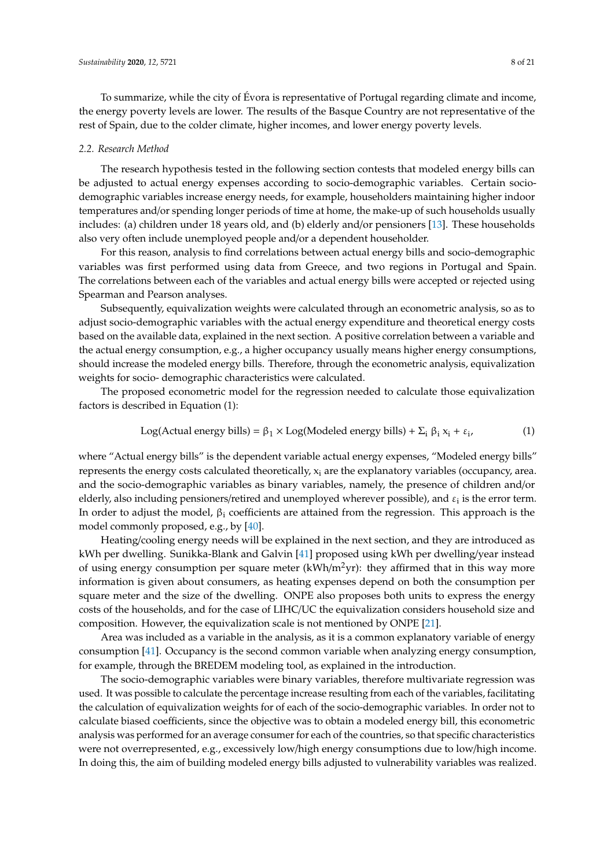To summarize, while the city of Évora is representative of Portugal regarding climate and income, the energy poverty levels are lower. The results of the Basque Country are not representative of the rest of Spain, due to the colder climate, higher incomes, and lower energy poverty levels.

#### *2.2. Research Method*

The research hypothesis tested in the following section contests that modeled energy bills can be adjusted to actual energy expenses according to socio-demographic variables. Certain sociodemographic variables increase energy needs, for example, householders maintaining higher indoor temperatures and/or spending longer periods of time at home, the make-up of such households usually includes: (a) children under 18 years old, and (b) elderly and/or pensioners [\[13\]](#page-18-11). These households also very often include unemployed people and/or a dependent householder.

For this reason, analysis to find correlations between actual energy bills and socio-demographic variables was first performed using data from Greece, and two regions in Portugal and Spain. The correlations between each of the variables and actual energy bills were accepted or rejected using Spearman and Pearson analyses.

Subsequently, equivalization weights were calculated through an econometric analysis, so as to adjust socio-demographic variables with the actual energy expenditure and theoretical energy costs based on the available data, explained in the next section. A positive correlation between a variable and the actual energy consumption, e.g., a higher occupancy usually means higher energy consumptions, should increase the modeled energy bills. Therefore, through the econometric analysis, equivalization weights for socio- demographic characteristics were calculated.

The proposed econometric model for the regression needed to calculate those equivalization factors is described in Equation (1):

Log(Actual energy bills) = 
$$
\beta_1 \times \text{Log}(\text{Modeled energy bills}) + \Sigma_i \beta_i x_i + \varepsilon_i,
$$
 (1)

where "Actual energy bills" is the dependent variable actual energy expenses, "Modeled energy bills" represents the energy costs calculated theoretically,  $x_i$  are the explanatory variables (occupancy, area. and the socio-demographic variables as binary variables, namely, the presence of children and/or elderly, also including pensioners/retired and unemployed wherever possible), and  $\varepsilon_i$  is the error term. In order to adjust the model,  $\beta_i$  coefficients are attained from the regression. This approach is the model commonly proposed, e.g., by [\[40\]](#page-19-24).

Heating/cooling energy needs will be explained in the next section, and they are introduced as kWh per dwelling. Sunikka-Blank and Galvin [\[41\]](#page-19-25) proposed using kWh per dwelling/year instead of using energy consumption per square meter (kWh/m<sup>2</sup>yr): they affirmed that in this way more information is given about consumers, as heating expenses depend on both the consumption per square meter and the size of the dwelling. ONPE also proposes both units to express the energy costs of the households, and for the case of LIHC/UC the equivalization considers household size and composition. However, the equivalization scale is not mentioned by ONPE [\[21\]](#page-19-5).

Area was included as a variable in the analysis, as it is a common explanatory variable of energy consumption [\[41\]](#page-19-25). Occupancy is the second common variable when analyzing energy consumption, for example, through the BREDEM modeling tool, as explained in the introduction.

The socio-demographic variables were binary variables, therefore multivariate regression was used. It was possible to calculate the percentage increase resulting from each of the variables, facilitating the calculation of equivalization weights for of each of the socio-demographic variables. In order not to calculate biased coefficients, since the objective was to obtain a modeled energy bill, this econometric analysis was performed for an average consumer for each of the countries, so that specific characteristics were not overrepresented, e.g., excessively low/high energy consumptions due to low/high income. In doing this, the aim of building modeled energy bills adjusted to vulnerability variables was realized.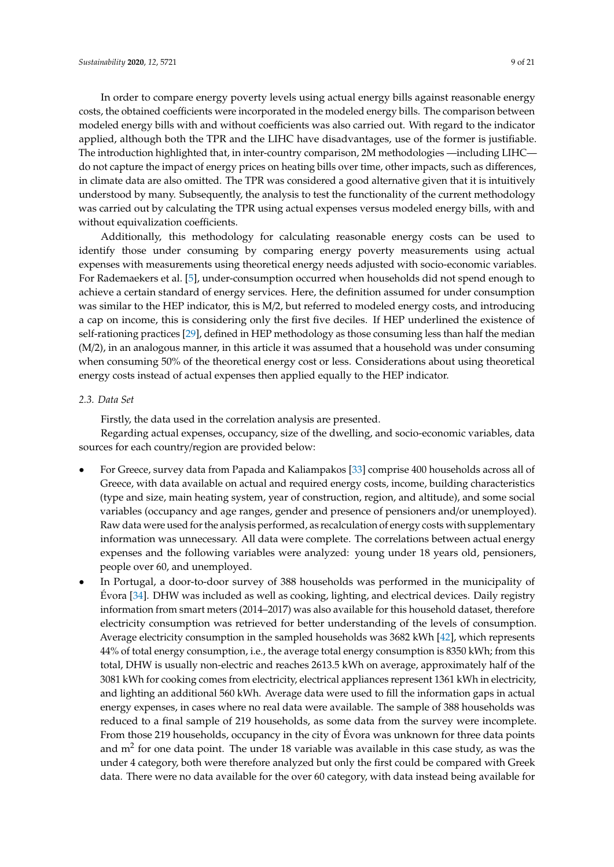In order to compare energy poverty levels using actual energy bills against reasonable energy costs, the obtained coefficients were incorporated in the modeled energy bills. The comparison between modeled energy bills with and without coefficients was also carried out. With regard to the indicator applied, although both the TPR and the LIHC have disadvantages, use of the former is justifiable. The introduction highlighted that, in inter-country comparison, 2M methodologies —including LIHC do not capture the impact of energy prices on heating bills over time, other impacts, such as differences, in climate data are also omitted. The TPR was considered a good alternative given that it is intuitively understood by many. Subsequently, the analysis to test the functionality of the current methodology was carried out by calculating the TPR using actual expenses versus modeled energy bills, with and without equivalization coefficients.

Additionally, this methodology for calculating reasonable energy costs can be used to identify those under consuming by comparing energy poverty measurements using actual expenses with measurements using theoretical energy needs adjusted with socio-economic variables. For Rademaekers et al. [\[5\]](#page-18-14), under-consumption occurred when households did not spend enough to achieve a certain standard of energy services. Here, the definition assumed for under consumption was similar to the HEP indicator, this is M/2, but referred to modeled energy costs, and introducing a cap on income, this is considering only the first five deciles. If HEP underlined the existence of self-rationing practices [\[29\]](#page-19-13), defined in HEP methodology as those consuming less than half the median (M/2), in an analogous manner, in this article it was assumed that a household was under consuming when consuming 50% of the theoretical energy cost or less. Considerations about using theoretical energy costs instead of actual expenses then applied equally to the HEP indicator.

## *2.3. Data Set*

Firstly, the data used in the correlation analysis are presented.

Regarding actual expenses, occupancy, size of the dwelling, and socio-economic variables, data sources for each country/region are provided below:

- For Greece, survey data from Papada and Kaliampakos [\[33\]](#page-19-17) comprise 400 households across all of Greece, with data available on actual and required energy costs, income, building characteristics (type and size, main heating system, year of construction, region, and altitude), and some social variables (occupancy and age ranges, gender and presence of pensioners and/or unemployed). Raw data were used for the analysis performed, as recalculation of energy costs with supplementary information was unnecessary. All data were complete. The correlations between actual energy expenses and the following variables were analyzed: young under 18 years old, pensioners, people over 60, and unemployed.
- In Portugal, a door-to-door survey of 388 households was performed in the municipality of Évora [\[34\]](#page-19-18). DHW was included as well as cooking, lighting, and electrical devices. Daily registry information from smart meters (2014–2017) was also available for this household dataset, therefore electricity consumption was retrieved for better understanding of the levels of consumption. Average electricity consumption in the sampled households was 3682 kWh [\[42\]](#page-19-26), which represents 44% of total energy consumption, i.e., the average total energy consumption is 8350 kWh; from this total, DHW is usually non-electric and reaches 2613.5 kWh on average, approximately half of the 3081 kWh for cooking comes from electricity, electrical appliances represent 1361 kWh in electricity, and lighting an additional 560 kWh. Average data were used to fill the information gaps in actual energy expenses, in cases where no real data were available. The sample of 388 households was reduced to a final sample of 219 households, as some data from the survey were incomplete. From those 219 households, occupancy in the city of Évora was unknown for three data points and m<sup>2</sup> for one data point. The under 18 variable was available in this case study, as was the under 4 category, both were therefore analyzed but only the first could be compared with Greek data. There were no data available for the over 60 category, with data instead being available for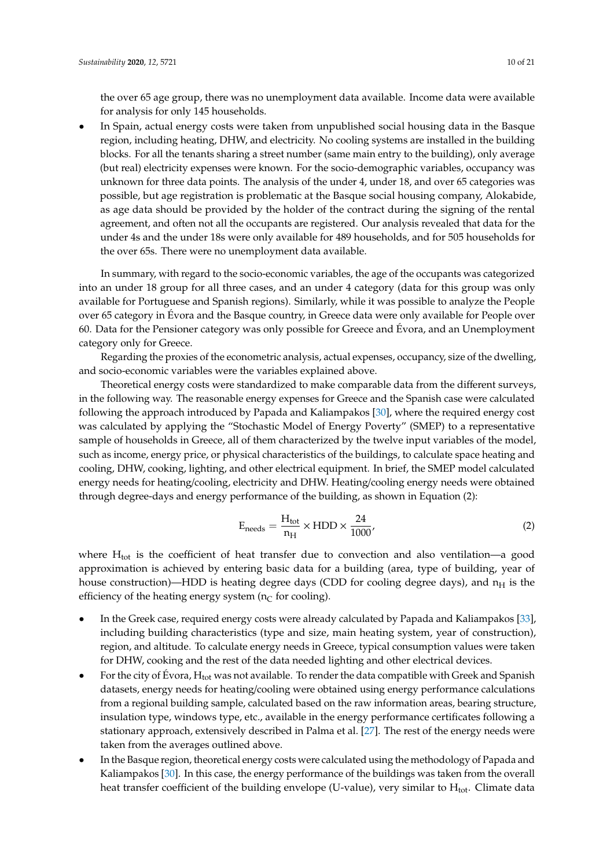the over 65 age group, there was no unemployment data available. Income data were available for analysis for only 145 households.

• In Spain, actual energy costs were taken from unpublished social housing data in the Basque region, including heating, DHW, and electricity. No cooling systems are installed in the building blocks. For all the tenants sharing a street number (same main entry to the building), only average (but real) electricity expenses were known. For the socio-demographic variables, occupancy was unknown for three data points. The analysis of the under 4, under 18, and over 65 categories was possible, but age registration is problematic at the Basque social housing company, Alokabide, as age data should be provided by the holder of the contract during the signing of the rental agreement, and often not all the occupants are registered. Our analysis revealed that data for the under 4s and the under 18s were only available for 489 households, and for 505 households for the over 65s. There were no unemployment data available.

In summary, with regard to the socio-economic variables, the age of the occupants was categorized into an under 18 group for all three cases, and an under 4 category (data for this group was only available for Portuguese and Spanish regions). Similarly, while it was possible to analyze the People over 65 category in Évora and the Basque country, in Greece data were only available for People over 60. Data for the Pensioner category was only possible for Greece and Évora, and an Unemployment category only for Greece.

Regarding the proxies of the econometric analysis, actual expenses, occupancy, size of the dwelling, and socio-economic variables were the variables explained above.

Theoretical energy costs were standardized to make comparable data from the different surveys, in the following way. The reasonable energy expenses for Greece and the Spanish case were calculated following the approach introduced by Papada and Kaliampakos [\[30\]](#page-19-14), where the required energy cost was calculated by applying the "Stochastic Model of Energy Poverty" (SMEP) to a representative sample of households in Greece, all of them characterized by the twelve input variables of the model, such as income, energy price, or physical characteristics of the buildings, to calculate space heating and cooling, DHW, cooking, lighting, and other electrical equipment. In brief, the SMEP model calculated energy needs for heating/cooling, electricity and DHW. Heating/cooling energy needs were obtained through degree-days and energy performance of the building, as shown in Equation (2):

$$
E_{\text{needs}} = \frac{H_{\text{tot}}}{n_{\text{H}}} \times \text{HDD} \times \frac{24}{1000},\tag{2}
$$

where  $H_{tot}$  is the coefficient of heat transfer due to convection and also ventilation—a good approximation is achieved by entering basic data for a building (area, type of building, year of house construction)—HDD is heating degree days (CDD for cooling degree days), and  $n_H$  is the efficiency of the heating energy system ( $n<sub>C</sub>$  for cooling).

- In the Greek case, required energy costs were already calculated by Papada and Kaliampakos [\[33\]](#page-19-17), including building characteristics (type and size, main heating system, year of construction), region, and altitude. To calculate energy needs in Greece, typical consumption values were taken for DHW, cooking and the rest of the data needed lighting and other electrical devices.
- For the city of Évora,  $H_{tot}$  was not available. To render the data compatible with Greek and Spanish datasets, energy needs for heating/cooling were obtained using energy performance calculations from a regional building sample, calculated based on the raw information areas, bearing structure, insulation type, windows type, etc., available in the energy performance certificates following a stationary approach, extensively described in Palma et al. [\[27\]](#page-19-11). The rest of the energy needs were taken from the averages outlined above.
- In the Basque region, theoretical energy costs were calculated using the methodology of Papada and Kaliampakos [\[30\]](#page-19-14). In this case, the energy performance of the buildings was taken from the overall heat transfer coefficient of the building envelope (U-value), very similar to  $H_{tot}$ . Climate data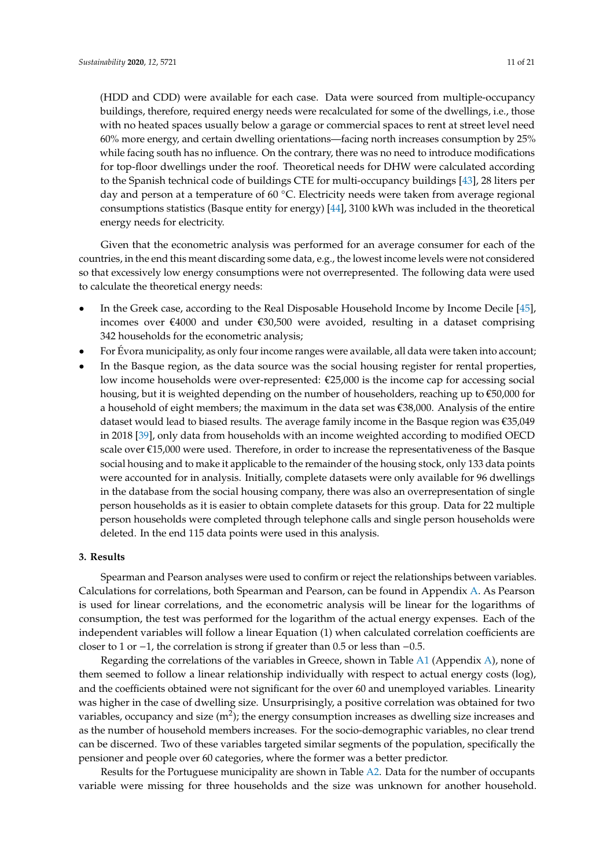(HDD and CDD) were available for each case. Data were sourced from multiple-occupancy buildings, therefore, required energy needs were recalculated for some of the dwellings, i.e., those with no heated spaces usually below a garage or commercial spaces to rent at street level need 60% more energy, and certain dwelling orientations—facing north increases consumption by 25% while facing south has no influence. On the contrary, there was no need to introduce modifications for top-floor dwellings under the roof. Theoretical needs for DHW were calculated according to the Spanish technical code of buildings CTE for multi-occupancy buildings [\[43\]](#page-19-27), 28 liters per day and person at a temperature of 60 ℃. Electricity needs were taken from average regional consumptions statistics (Basque entity for energy) [\[44\]](#page-20-0), 3100 kWh was included in the theoretical energy needs for electricity.

Given that the econometric analysis was performed for an average consumer for each of the countries, in the end this meant discarding some data, e.g., the lowest income levels were not considered so that excessively low energy consumptions were not overrepresented. The following data were used to calculate the theoretical energy needs:

- In the Greek case, according to the Real Disposable Household Income by Income Decile [\[45\]](#page-20-1), incomes over  $\epsilon$ 4000 and under  $\epsilon$ 30,500 were avoided, resulting in a dataset comprising 342 households for the econometric analysis;
- For Évora municipality, as only four income ranges were available, all data were taken into account;
- In the Basque region, as the data source was the social housing register for rental properties, low income households were over-represented:  $\epsilon$ 25,000 is the income cap for accessing social housing, but it is weighted depending on the number of householders, reaching up to  $\epsilon$ 50,000 for a household of eight members; the maximum in the data set was €38,000. Analysis of the entire dataset would lead to biased results. The average family income in the Basque region was €35,049 in 2018 [\[39\]](#page-19-23), only data from households with an income weighted according to modified OECD scale over  $\epsilon$ 15,000 were used. Therefore, in order to increase the representativeness of the Basque social housing and to make it applicable to the remainder of the housing stock, only 133 data points were accounted for in analysis. Initially, complete datasets were only available for 96 dwellings in the database from the social housing company, there was also an overrepresentation of single person households as it is easier to obtain complete datasets for this group. Data for 22 multiple person households were completed through telephone calls and single person households were deleted. In the end 115 data points were used in this analysis.

#### **3. Results**

Spearman and Pearson analyses were used to confirm or reject the relationships between variables. Calculations for correlations, both Spearman and Pearson, can be found in Appendix [A.](#page-17-0) As Pearson is used for linear correlations, and the econometric analysis will be linear for the logarithms of consumption, the test was performed for the logarithm of the actual energy expenses. Each of the independent variables will follow a linear Equation (1) when calculated correlation coefficients are closer to 1 or −1, the correlation is strong if greater than 0.5 or less than −0.5.

Regarding the correlations of the variables in Greece, shown in Table [A1](#page-17-1) (Appendix [A\)](#page-17-0), none of them seemed to follow a linear relationship individually with respect to actual energy costs (log), and the coefficients obtained were not significant for the over 60 and unemployed variables. Linearity was higher in the case of dwelling size. Unsurprisingly, a positive correlation was obtained for two variables, occupancy and size (m<sup>2</sup>); the energy consumption increases as dwelling size increases and as the number of household members increases. For the socio-demographic variables, no clear trend can be discerned. Two of these variables targeted similar segments of the population, specifically the pensioner and people over 60 categories, where the former was a better predictor.

Results for the Portuguese municipality are shown in Table [A2.](#page-17-2) Data for the number of occupants variable were missing for three households and the size was unknown for another household.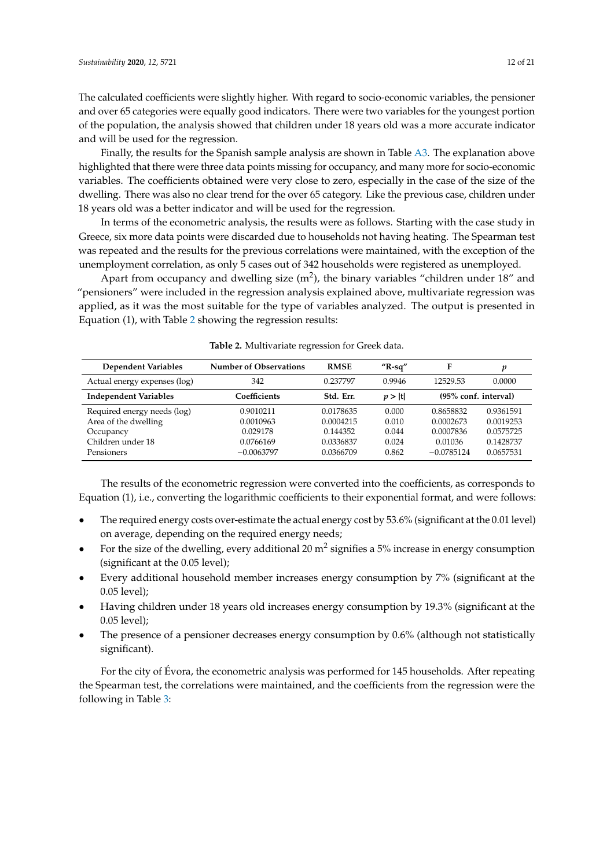The calculated coefficients were slightly higher. With regard to socio-economic variables, the pensioner and over 65 categories were equally good indicators. There were two variables for the youngest portion of the population, the analysis showed that children under 18 years old was a more accurate indicator and will be used for the regression.

Finally, the results for the Spanish sample analysis are shown in Table [A3.](#page-17-3) The explanation above highlighted that there were three data points missing for occupancy, and many more for socio-economic variables. The coefficients obtained were very close to zero, especially in the case of the size of the dwelling. There was also no clear trend for the over 65 category. Like the previous case, children under 18 years old was a better indicator and will be used for the regression.

In terms of the econometric analysis, the results were as follows. Starting with the case study in Greece, six more data points were discarded due to households not having heating. The Spearman test was repeated and the results for the previous correlations were maintained, with the exception of the unemployment correlation, as only 5 cases out of 342 households were registered as unemployed.

Apart from occupancy and dwelling size  $(m^2)$ , the binary variables "children under 18" and "pensioners" were included in the regression analysis explained above, multivariate regression was applied, as it was the most suitable for the type of variables analyzed. The output is presented in Equation (1), with Table [2](#page-11-0) showing the regression results:

<span id="page-11-0"></span>

| <b>Dependent Variables</b>   | <b>Number of Observations</b> | <b>RMSE</b> | " $R$ -sq" | Е                    | p         |
|------------------------------|-------------------------------|-------------|------------|----------------------|-----------|
| Actual energy expenses (log) | 342                           | 0.237797    | 0.9946     | 12529.53             | 0.0000    |
| <b>Independent Variables</b> | Coefficients                  | Std. Err.   | p >  t     | (95% conf. interval) |           |
| Required energy needs (log)  | 0.9010211                     | 0.0178635   | 0.000      | 0.8658832            | 0.9361591 |
| Area of the dwelling         | 0.0010963                     | 0.0004215   | 0.010      | 0.0002673            | 0.0019253 |
| Occupancy                    | 0.029178                      | 0.144352    | 0.044      | 0.0007836            | 0.0575725 |
| Children under 18            | 0.0766169                     | 0.0336837   | 0.024      | 0.01036              | 0.1428737 |
| Pensioners                   | $-0.0063797$                  | 0.0366709   | 0.862      | $-0.0785124$         | 0.0657531 |

**Table 2.** Multivariate regression for Greek data.

The results of the econometric regression were converted into the coefficients, as corresponds to Equation (1), i.e., converting the logarithmic coefficients to their exponential format, and were follows:

- The required energy costs over-estimate the actual energy cost by 53.6% (significant at the 0.01 level) on average, depending on the required energy needs;
- For the size of the dwelling, every additional 20  $m^2$  signifies a 5% increase in energy consumption (significant at the 0.05 level);
- Every additional household member increases energy consumption by 7% (significant at the 0.05 level);
- Having children under 18 years old increases energy consumption by 19.3% (significant at the 0.05 level);
- The presence of a pensioner decreases energy consumption by 0.6% (although not statistically significant).

For the city of Évora, the econometric analysis was performed for 145 households. After repeating the Spearman test, the correlations were maintained, and the coefficients from the regression were the following in Table [3:](#page-12-0)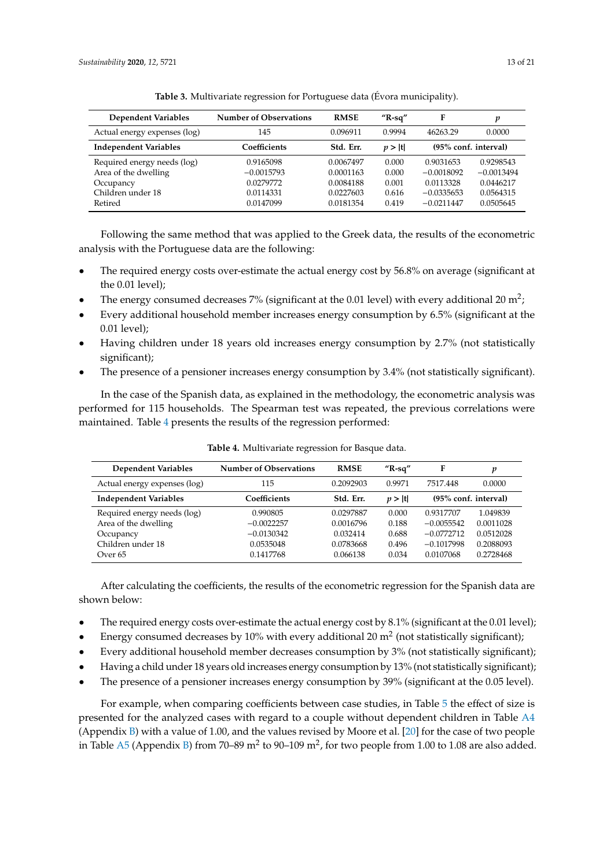<span id="page-12-0"></span>

| <b>Dependent Variables</b>   | <b>Number of Observations</b> | <b>RMSE</b> | " $R$ -sq" | F                    | p            |
|------------------------------|-------------------------------|-------------|------------|----------------------|--------------|
| Actual energy expenses (log) | 145                           | 0.096911    | 0.9994     | 46263.29             | 0.0000       |
| <b>Independent Variables</b> | Coefficients                  | Std. Err.   | p >  t     | (95% conf. interval) |              |
| Required energy needs (log)  | 0.9165098                     | 0.0067497   | 0.000      | 0.9031653            | 0.9298543    |
| Area of the dwelling         | $-0.0015793$                  | 0.0001163   | 0.000      | $-0.0018092$         | $-0.0013494$ |
| Occupancy                    | 0.0279772                     | 0.0084188   | 0.001      | 0.0113328            | 0.0446217    |
| Children under 18            | 0.0114331                     | 0.0227603   | 0.616      | $-0.0335653$         | 0.0564315    |
| Retired                      | 0.0147099                     | 0.0181354   | 0.419      | $-0.0211447$         | 0.0505645    |

**Table 3.** Multivariate regression for Portuguese data (Évora municipality).

Following the same method that was applied to the Greek data, the results of the econometric analysis with the Portuguese data are the following:

- The required energy costs over-estimate the actual energy cost by 56.8% on average (significant at the 0.01 level);
- The energy consumed decreases 7% (significant at the 0.01 level) with every additional 20 m<sup>2</sup>;
- Every additional household member increases energy consumption by 6.5% (significant at the 0.01 level);
- Having children under 18 years old increases energy consumption by 2.7% (not statistically significant);
- The presence of a pensioner increases energy consumption by 3.4% (not statistically significant).

In the case of the Spanish data, as explained in the methodology, the econometric analysis was performed for 115 households. The Spearman test was repeated, the previous correlations were maintained. Table [4](#page-12-1) presents the results of the regression performed:

<span id="page-12-1"></span>

| <b>Dependent Variables</b>   | <b>Number of Observations</b> | <b>RMSE</b> | " $R$ -sq" | F            | p                    |
|------------------------------|-------------------------------|-------------|------------|--------------|----------------------|
| Actual energy expenses (log) | 115                           | 0.2092903   | 0.9971     | 7517.448     | 0.0000               |
| <b>Independent Variables</b> | Coefficients                  | Std. Err.   | p >  t     |              | (95% conf. interval) |
| Required energy needs (log)  | 0.990805                      | 0.0297887   | 0.000      | 0.9317707    | 1.049839             |
| Area of the dwelling         | $-0.0022257$                  | 0.0016796   | 0.188      | $-0.0055542$ | 0.0011028            |
| Occupancy                    | $-0.0130342$                  | 0.032414    | 0.688      | $-0.0772712$ | 0.0512028            |
| Children under 18            | 0.0535048                     | 0.0783668   | 0.496      | $-0.1017998$ | 0.2088093            |
| Over <sub>65</sub>           | 0.1417768                     | 0.066138    | 0.034      | 0.0107068    | 0.2728468            |

**Table 4.** Multivariate regression for Basque data.

After calculating the coefficients, the results of the econometric regression for the Spanish data are shown below:

- The required energy costs over-estimate the actual energy cost by 8.1% (significant at the 0.01 level);
- Energy consumed decreases by 10% with every additional 20  $m^2$  (not statistically significant);
- Every additional household member decreases consumption by 3% (not statistically significant);
- Having a child under 18 years old increases energy consumption by 13% (not statistically significant);
- The presence of a pensioner increases energy consumption by 39% (significant at the 0.05 level).

For example, when comparing coefficients between case studies, in Table [5](#page-13-0) the effect of size is presented for the analyzed cases with regard to a couple without dependent children in Table [A4](#page-18-15) (Appendix [B\)](#page-18-16) with a value of 1.00, and the values revised by Moore et al. [\[20\]](#page-19-4) for the case of two people in Table [A5](#page-18-17) (Appendix [B\)](#page-18-16) from 70–89 m<sup>2</sup> to 90–109 m<sup>2</sup>, for two people from 1.00 to 1.08 are also added.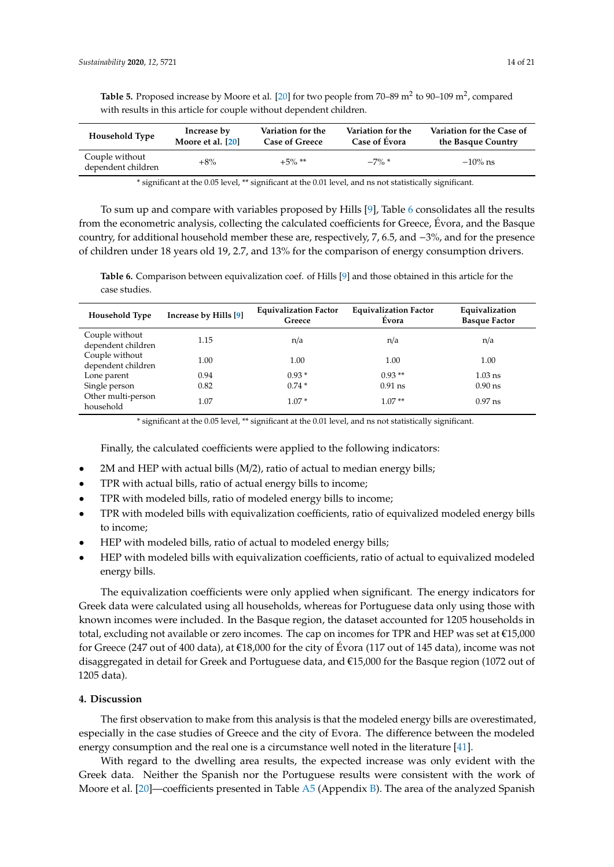| <b>Household Type</b>                | Increase by       | Variation for the     | Variation for the | Variation for the Case of |
|--------------------------------------|-------------------|-----------------------|-------------------|---------------------------|
|                                      | Moore et al. [20] | <b>Case of Greece</b> | Case of Évora     | the Basque Country        |
| Couple without<br>dependent children | $+8\%$            | $+5\%$ <sup>**</sup>  | $-7\%$ *          | $-10\%$ ns                |

<span id="page-13-0"></span>Table 5. Proposed increase by Moore et al. [\[20\]](#page-19-4) for two people from 70–89 m<sup>2</sup> to 90–109 m<sup>2</sup>, compared with results in this article for couple without dependent children.

\* significant at the 0.05 level, \*\* significant at the 0.01 level, and ns not statistically significant.

To sum up and compare with variables proposed by Hills [\[9\]](#page-18-7), Table [6](#page-13-1) consolidates all the results from the econometric analysis, collecting the calculated coefficients for Greece, Évora, and the Basque country, for additional household member these are, respectively, 7, 6.5, and −3%, and for the presence of children under 18 years old 19, 2.7, and 13% for the comparison of energy consumption drivers.

<span id="page-13-1"></span>**Table 6.** Comparison between equivalization coef. of Hills [\[9\]](#page-18-7) and those obtained in this article for the case studies.

| <b>Household Type</b>                | Increase by Hills [9] | <b>Equivalization Factor</b><br>Greece | <b>Equivalization Factor</b><br>Evora | Equivalization<br><b>Basque Factor</b> |
|--------------------------------------|-----------------------|----------------------------------------|---------------------------------------|----------------------------------------|
| Couple without<br>dependent children | 1.15                  | n/a                                    | n/a                                   | n/a                                    |
| Couple without<br>dependent children | 1.00                  | 1.00                                   | 1.00                                  | 1.00                                   |
| Lone parent                          | 0.94                  | $0.93*$                                | $0.93**$                              | $1.03$ ns                              |
| Single person                        | 0.82                  | $0.74*$                                | $0.91$ ns                             | $0.90$ ns                              |
| Other multi-person<br>household      | 1.07                  | $1.07*$                                | $1.07**$                              | $0.97$ ns                              |

\* significant at the 0.05 level, \*\* significant at the 0.01 level, and ns not statistically significant.

Finally, the calculated coefficients were applied to the following indicators:

- 2M and HEP with actual bills (M/2), ratio of actual to median energy bills;
- TPR with actual bills, ratio of actual energy bills to income;
- TPR with modeled bills, ratio of modeled energy bills to income;
- TPR with modeled bills with equivalization coefficients, ratio of equivalized modeled energy bills to income;
- HEP with modeled bills, ratio of actual to modeled energy bills;
- HEP with modeled bills with equivalization coefficients, ratio of actual to equivalized modeled energy bills.

The equivalization coefficients were only applied when significant. The energy indicators for Greek data were calculated using all households, whereas for Portuguese data only using those with known incomes were included. In the Basque region, the dataset accounted for 1205 households in total, excluding not available or zero incomes. The cap on incomes for TPR and HEP was set at €15,000 for Greece (247 out of 400 data), at €18,000 for the city of Évora (117 out of 145 data), income was not disaggregated in detail for Greek and Portuguese data, and €15,000 for the Basque region (1072 out of 1205 data).

#### **4. Discussion**

The first observation to make from this analysis is that the modeled energy bills are overestimated, especially in the case studies of Greece and the city of Evora. The difference between the modeled energy consumption and the real one is a circumstance well noted in the literature [\[41\]](#page-19-25).

With regard to the dwelling area results, the expected increase was only evident with the Greek data. Neither the Spanish nor the Portuguese results were consistent with the work of Moore et al. [\[20\]](#page-19-4)—coefficients presented in Table [A5](#page-18-17) (Appendix [B\)](#page-18-16). The area of the analyzed Spanish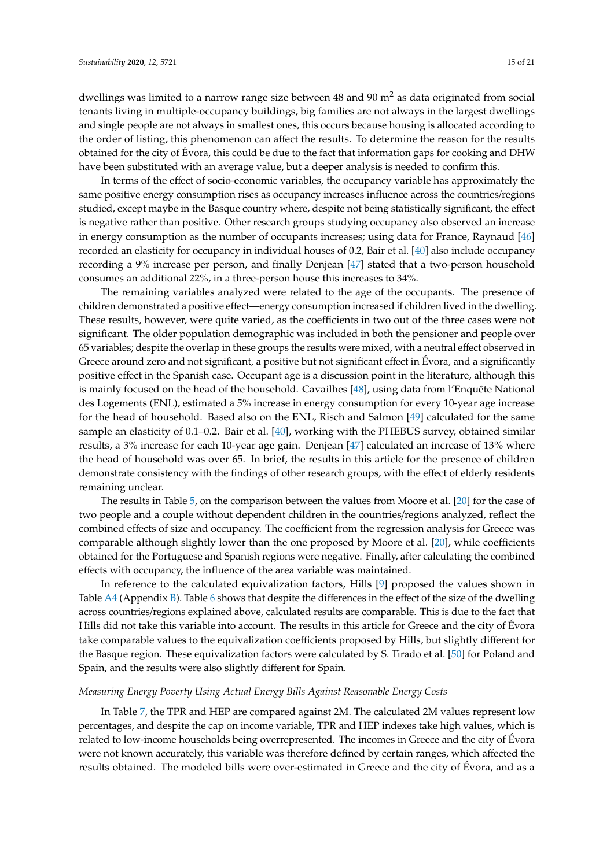dwellings was limited to a narrow range size between 48 and 90  $m<sup>2</sup>$  as data originated from social tenants living in multiple-occupancy buildings, big families are not always in the largest dwellings and single people are not always in smallest ones, this occurs because housing is allocated according to the order of listing, this phenomenon can affect the results. To determine the reason for the results obtained for the city of Évora, this could be due to the fact that information gaps for cooking and DHW have been substituted with an average value, but a deeper analysis is needed to confirm this.

In terms of the effect of socio-economic variables, the occupancy variable has approximately the same positive energy consumption rises as occupancy increases influence across the countries/regions studied, except maybe in the Basque country where, despite not being statistically significant, the effect is negative rather than positive. Other research groups studying occupancy also observed an increase in energy consumption as the number of occupants increases; using data for France, Raynaud [\[46\]](#page-20-2) recorded an elasticity for occupancy in individual houses of 0.2, Bair et al. [\[40\]](#page-19-24) also include occupancy recording a 9% increase per person, and finally Denjean [\[47\]](#page-20-3) stated that a two-person household consumes an additional 22%, in a three-person house this increases to 34%.

The remaining variables analyzed were related to the age of the occupants. The presence of children demonstrated a positive effect—energy consumption increased if children lived in the dwelling. These results, however, were quite varied, as the coefficients in two out of the three cases were not significant. The older population demographic was included in both the pensioner and people over 65 variables; despite the overlap in these groups the results were mixed, with a neutral effect observed in Greece around zero and not significant, a positive but not significant effect in Evora, and a significantly positive effect in the Spanish case. Occupant age is a discussion point in the literature, although this is mainly focused on the head of the household. Cavailhes [\[48\]](#page-20-4), using data from l'Enquête National des Logements (ENL), estimated a 5% increase in energy consumption for every 10-year age increase for the head of household. Based also on the ENL, Risch and Salmon [\[49\]](#page-20-5) calculated for the same sample an elasticity of 0.1–0.2. Bair et al. [\[40\]](#page-19-24), working with the PHEBUS survey, obtained similar results, a 3% increase for each 10-year age gain. Denjean [\[47\]](#page-20-3) calculated an increase of 13% where the head of household was over 65. In brief, the results in this article for the presence of children demonstrate consistency with the findings of other research groups, with the effect of elderly residents remaining unclear.

The results in Table [5,](#page-13-0) on the comparison between the values from Moore et al. [\[20\]](#page-19-4) for the case of two people and a couple without dependent children in the countries/regions analyzed, reflect the combined effects of size and occupancy. The coefficient from the regression analysis for Greece was comparable although slightly lower than the one proposed by Moore et al. [\[20\]](#page-19-4), while coefficients obtained for the Portuguese and Spanish regions were negative. Finally, after calculating the combined effects with occupancy, the influence of the area variable was maintained.

In reference to the calculated equivalization factors, Hills [\[9\]](#page-18-7) proposed the values shown in Table [A4](#page-18-15) (Appendix [B\)](#page-18-16). Table [6](#page-13-1) shows that despite the differences in the effect of the size of the dwelling across countries/regions explained above, calculated results are comparable. This is due to the fact that Hills did not take this variable into account. The results in this article for Greece and the city of Évora take comparable values to the equivalization coefficients proposed by Hills, but slightly different for the Basque region. These equivalization factors were calculated by S. Tirado et al. [\[50\]](#page-20-6) for Poland and Spain, and the results were also slightly different for Spain.

#### *Measuring Energy Poverty Using Actual Energy Bills Against Reasonable Energy Costs*

In Table [7,](#page-15-0) the TPR and HEP are compared against 2M. The calculated 2M values represent low percentages, and despite the cap on income variable, TPR and HEP indexes take high values, which is related to low-income households being overrepresented. The incomes in Greece and the city of Évora were not known accurately, this variable was therefore defined by certain ranges, which affected the results obtained. The modeled bills were over-estimated in Greece and the city of Évora, and as a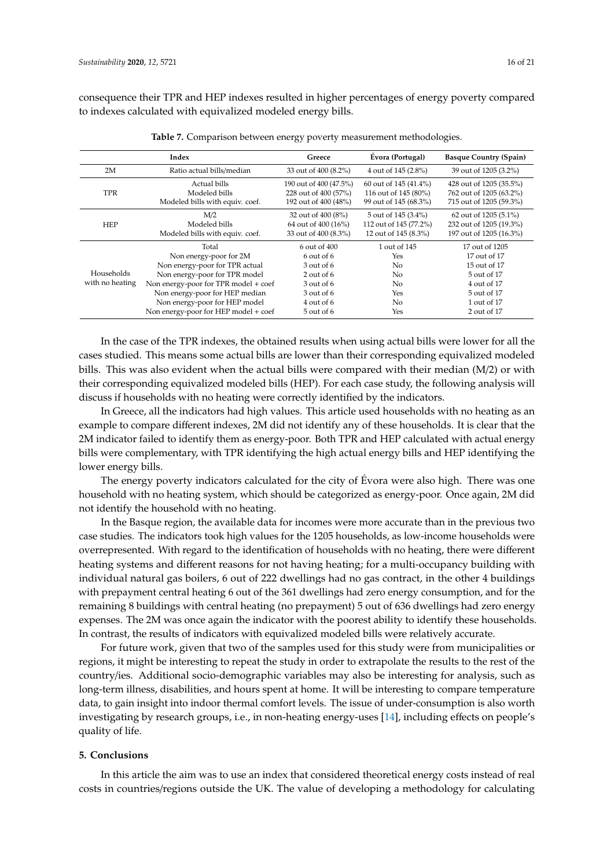consequence their TPR and HEP indexes resulted in higher percentages of energy poverty compared to indexes calculated with equivalized modeled energy bills.

<span id="page-15-0"></span>

| Index                         |                                                                                                                                                                                                                                                       | Greece                                                                                                                 | Evora (Portugal)                                                      | <b>Basque Country (Spain)</b>                                                                                             |
|-------------------------------|-------------------------------------------------------------------------------------------------------------------------------------------------------------------------------------------------------------------------------------------------------|------------------------------------------------------------------------------------------------------------------------|-----------------------------------------------------------------------|---------------------------------------------------------------------------------------------------------------------------|
| 2M                            | Ratio actual bills/median                                                                                                                                                                                                                             | 33 out of 400 (8.2%)                                                                                                   | 4 out of 145 (2.8%)                                                   | 39 out of 1205 (3.2%)                                                                                                     |
| <b>TPR</b>                    | Actual bills<br>Modeled bills                                                                                                                                                                                                                         | 190 out of 400 (47.5%)<br>228 out of 400 (57%)                                                                         | 60 out of 145 (41.4%)<br>116 out of 145 (80%)                         | 428 out of 1205 (35.5%)<br>762 out of 1205 (63.2%)                                                                        |
|                               | Modeled bills with equiv. coef.                                                                                                                                                                                                                       | 192 out of 400 (48%)                                                                                                   | 99 out of 145 (68.3%)                                                 | 715 out of 1205 (59.3%)                                                                                                   |
| <b>HEP</b>                    | M/2<br>Modeled bills<br>Modeled bills with equiv. coef.                                                                                                                                                                                               | 32 out of 400 (8%)<br>64 out of 400 (16%)<br>33 out of 400 (8.3%)                                                      | 5 out of 145 (3.4%)<br>112 out of 145 (77.2%)<br>12 out of 145 (8.3%) | 62 out of 1205 (5.1%)<br>232 out of 1205 (19.3%)<br>197 out of 1205 (16.3%)                                               |
| Households<br>with no heating | Total<br>Non energy-poor for 2M<br>Non energy-poor for TPR actual<br>Non energy-poor for TPR model<br>Non energy-poor for TPR model + coef<br>Non energy-poor for HEP median<br>Non energy-poor for HEP model<br>Non energy-poor for HEP model + coef | 6 out of 400<br>$6$ out of $6$<br>3 out of 6<br>$2$ out of 6<br>3 out of 6<br>3 out of 6<br>4 out of 6<br>$5$ out of 6 | 1 out of 145<br>Yes<br>No<br>No.<br>No.<br>Yes<br>No.<br>Yes          | 17 out of 1205<br>17 out of 17<br>15 out of 17<br>5 out of 17<br>4 out of 17<br>5 out of 17<br>1 out of 17<br>2 out of 17 |

**Table 7.** Comparison between energy poverty measurement methodologies.

In the case of the TPR indexes, the obtained results when using actual bills were lower for all the cases studied. This means some actual bills are lower than their corresponding equivalized modeled bills. This was also evident when the actual bills were compared with their median (M/2) or with their corresponding equivalized modeled bills (HEP). For each case study, the following analysis will discuss if households with no heating were correctly identified by the indicators.

In Greece, all the indicators had high values. This article used households with no heating as an example to compare different indexes, 2M did not identify any of these households. It is clear that the 2M indicator failed to identify them as energy-poor. Both TPR and HEP calculated with actual energy bills were complementary, with TPR identifying the high actual energy bills and HEP identifying the lower energy bills.

The energy poverty indicators calculated for the city of Évora were also high. There was one household with no heating system, which should be categorized as energy-poor. Once again, 2M did not identify the household with no heating.

In the Basque region, the available data for incomes were more accurate than in the previous two case studies. The indicators took high values for the 1205 households, as low-income households were overrepresented. With regard to the identification of households with no heating, there were different heating systems and different reasons for not having heating; for a multi-occupancy building with individual natural gas boilers, 6 out of 222 dwellings had no gas contract, in the other 4 buildings with prepayment central heating 6 out of the 361 dwellings had zero energy consumption, and for the remaining 8 buildings with central heating (no prepayment) 5 out of 636 dwellings had zero energy expenses. The 2M was once again the indicator with the poorest ability to identify these households. In contrast, the results of indicators with equivalized modeled bills were relatively accurate.

For future work, given that two of the samples used for this study were from municipalities or regions, it might be interesting to repeat the study in order to extrapolate the results to the rest of the country/ies. Additional socio-demographic variables may also be interesting for analysis, such as long-term illness, disabilities, and hours spent at home. It will be interesting to compare temperature data, to gain insight into indoor thermal comfort levels. The issue of under-consumption is also worth investigating by research groups, i.e., in non-heating energy-uses [\[14\]](#page-18-12), including effects on people's quality of life.

#### **5. Conclusions**

In this article the aim was to use an index that considered theoretical energy costs instead of real costs in countries/regions outside the UK. The value of developing a methodology for calculating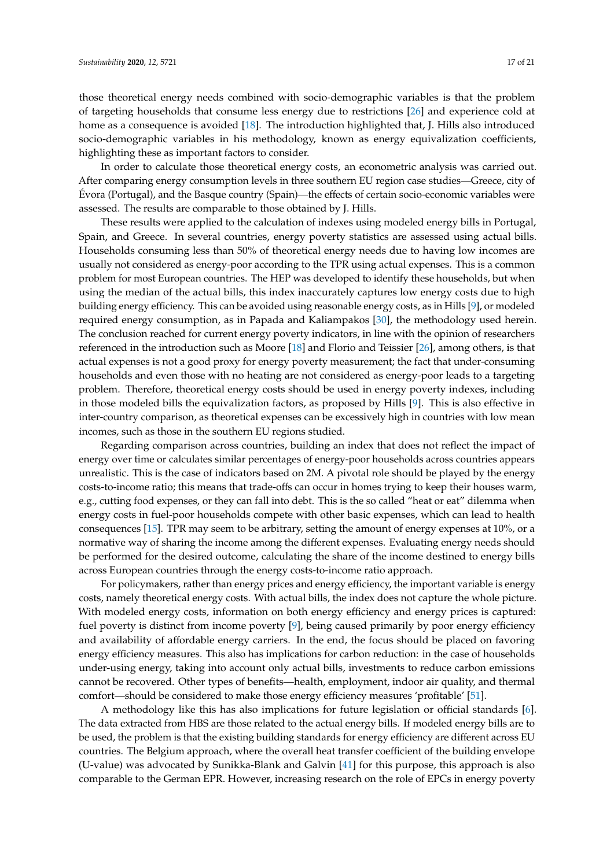those theoretical energy needs combined with socio-demographic variables is that the problem of targeting households that consume less energy due to restrictions [\[26\]](#page-19-10) and experience cold at home as a consequence is avoided [\[18\]](#page-19-2). The introduction highlighted that, J. Hills also introduced socio-demographic variables in his methodology, known as energy equivalization coefficients, highlighting these as important factors to consider.

In order to calculate those theoretical energy costs, an econometric analysis was carried out. After comparing energy consumption levels in three southern EU region case studies—Greece, city of Évora (Portugal), and the Basque country (Spain)—the effects of certain socio-economic variables were assessed. The results are comparable to those obtained by J. Hills.

These results were applied to the calculation of indexes using modeled energy bills in Portugal, Spain, and Greece. In several countries, energy poverty statistics are assessed using actual bills. Households consuming less than 50% of theoretical energy needs due to having low incomes are usually not considered as energy-poor according to the TPR using actual expenses. This is a common problem for most European countries. The HEP was developed to identify these households, but when using the median of the actual bills, this index inaccurately captures low energy costs due to high building energy efficiency. This can be avoided using reasonable energy costs, as in Hills [\[9\]](#page-18-7), or modeled required energy consumption, as in Papada and Kaliampakos [\[30\]](#page-19-14), the methodology used herein. The conclusion reached for current energy poverty indicators, in line with the opinion of researchers referenced in the introduction such as Moore [\[18\]](#page-19-2) and Florio and Teissier [\[26\]](#page-19-10), among others, is that actual expenses is not a good proxy for energy poverty measurement; the fact that under-consuming households and even those with no heating are not considered as energy-poor leads to a targeting problem. Therefore, theoretical energy costs should be used in energy poverty indexes, including in those modeled bills the equivalization factors, as proposed by Hills [\[9\]](#page-18-7). This is also effective in inter-country comparison, as theoretical expenses can be excessively high in countries with low mean incomes, such as those in the southern EU regions studied.

Regarding comparison across countries, building an index that does not reflect the impact of energy over time or calculates similar percentages of energy-poor households across countries appears unrealistic. This is the case of indicators based on 2M. A pivotal role should be played by the energy costs-to-income ratio; this means that trade-offs can occur in homes trying to keep their houses warm, e.g., cutting food expenses, or they can fall into debt. This is the so called "heat or eat" dilemma when energy costs in fuel-poor households compete with other basic expenses, which can lead to health consequences [\[15\]](#page-18-13). TPR may seem to be arbitrary, setting the amount of energy expenses at 10%, or a normative way of sharing the income among the different expenses. Evaluating energy needs should be performed for the desired outcome, calculating the share of the income destined to energy bills across European countries through the energy costs-to-income ratio approach.

For policymakers, rather than energy prices and energy efficiency, the important variable is energy costs, namely theoretical energy costs. With actual bills, the index does not capture the whole picture. With modeled energy costs, information on both energy efficiency and energy prices is captured: fuel poverty is distinct from income poverty [\[9\]](#page-18-7), being caused primarily by poor energy efficiency and availability of affordable energy carriers. In the end, the focus should be placed on favoring energy efficiency measures. This also has implications for carbon reduction: in the case of households under-using energy, taking into account only actual bills, investments to reduce carbon emissions cannot be recovered. Other types of benefits—health, employment, indoor air quality, and thermal comfort—should be considered to make those energy efficiency measures 'profitable' [\[51\]](#page-20-7).

A methodology like this has also implications for future legislation or official standards [\[6\]](#page-18-4). The data extracted from HBS are those related to the actual energy bills. If modeled energy bills are to be used, the problem is that the existing building standards for energy efficiency are different across EU countries. The Belgium approach, where the overall heat transfer coefficient of the building envelope (U-value) was advocated by Sunikka-Blank and Galvin [\[41\]](#page-19-25) for this purpose, this approach is also comparable to the German EPR. However, increasing research on the role of EPCs in energy poverty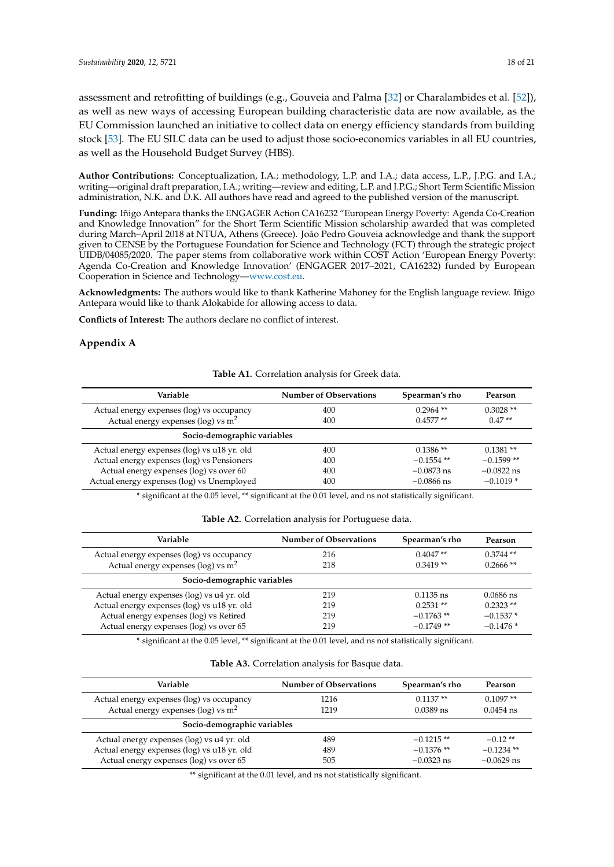assessment and retrofitting of buildings (e.g., Gouveia and Palma [\[32\]](#page-19-16) or Charalambides et al. [\[52\]](#page-20-8)), as well as new ways of accessing European building characteristic data are now available, as the EU Commission launched an initiative to collect data on energy efficiency standards from building stock [\[53\]](#page-20-9). The EU SILC data can be used to adjust those socio-economics variables in all EU countries, as well as the Household Budget Survey (HBS).

**Author Contributions:** Conceptualization, I.A.; methodology, L.P. and I.A.; data access, L.P., J.P.G. and I.A.; writing—original draft preparation, I.A.; writing—review and editing, L.P. and J.P.G.; Short Term Scientific Mission administration, N.K. and D.K. All authors have read and agreed to the published version of the manuscript.

**Funding:** Iñigo Antepara thanks the ENGAGER Action CA16232 "European Energy Poverty: Agenda Co-Creation and Knowledge Innovation" for the Short Term Scientific Mission scholarship awarded that was completed during March–April 2018 at NTUA, Athens (Greece). João Pedro Gouveia acknowledge and thank the support given to CENSE by the Portuguese Foundation for Science and Technology (FCT) through the strategic project UIDB/04085/2020. The paper stems from collaborative work within COST Action 'European Energy Poverty: Agenda Co-Creation and Knowledge Innovation' (ENGAGER 2017–2021, CA16232) funded by European Cooperation in Science and Technology[—www.cost.eu.](www.cost.eu)

**Acknowledgments:** The authors would like to thank Katherine Mahoney for the English language review. Iñigo Antepara would like to thank Alokabide for allowing access to data.

**Conflicts of Interest:** The authors declare no conflict of interest.

## <span id="page-17-1"></span><span id="page-17-0"></span>**Appendix A**

#### **Table A1.** Correlation analysis for Greek data.

| Variable                                    | <b>Number of Observations</b> | Spearman's rho | Pearson      |
|---------------------------------------------|-------------------------------|----------------|--------------|
| Actual energy expenses (log) vs occupancy   | 400                           | $0.2964$ **    | $0.3028**$   |
| Actual energy expenses (log) vs $m2$        | 400                           | $0.4577**$     | $0.47**$     |
| Socio-demographic variables                 |                               |                |              |
| Actual energy expenses (log) vs u18 yr. old | 400                           | $0.1386**$     | $0.1381**$   |
| Actual energy expenses (log) vs Pensioners  | 400                           | $-0.1554$ **   | $-0.1599**$  |
| Actual energy expenses (log) vs over 60     | 400                           | $-0.0873$ ns   | $-0.0822$ ns |
| Actual energy expenses (log) vs Unemployed  | 400                           | $-0.0866$ ns   | $-0.1019*$   |

\* significant at the 0.05 level, \*\* significant at the 0.01 level, and ns not statistically significant.

|  | Table A2. Correlation analysis for Portuguese data. |  |  |  |  |
|--|-----------------------------------------------------|--|--|--|--|
|--|-----------------------------------------------------|--|--|--|--|

<span id="page-17-2"></span>

| Variable                                    | <b>Number of Observations</b> | Spearman's rho | Pearson     |
|---------------------------------------------|-------------------------------|----------------|-------------|
| Actual energy expenses (log) vs occupancy   | 216                           | $0.4047**$     | $0.3744**$  |
| Actual energy expenses (log) vs $m2$        | 218                           | $0.3419**$     | $0.2666$ ** |
| Socio-demographic variables                 |                               |                |             |
| Actual energy expenses (log) vs u4 yr. old  | 219                           | $0.1135$ ns    | $0.0686$ ns |
| Actual energy expenses (log) vs u18 yr. old | 219                           | $0.2531**$     | $0.2323**$  |
| Actual energy expenses (log) vs Retired     | 219                           | $-0.1763$ **   | $-0.1537*$  |
| Actual energy expenses (log) vs over 65     | 219                           | $-0.1749**$    | $-0.1476*$  |

\* significant at the 0.05 level, \*\* significant at the 0.01 level, and ns not statistically significant.

<span id="page-17-3"></span>

| Variable                                    | <b>Number of Observations</b> | Spearman's rho | <b>Pearson</b> |
|---------------------------------------------|-------------------------------|----------------|----------------|
| Actual energy expenses (log) vs occupancy   | 1216                          | $0.1137**$     | $0.1097**$     |
| Actual energy expenses (log) vs $m2$        | 1219                          | $0.0389$ ns    | $0.0454$ ns    |
| Socio-demographic variables                 |                               |                |                |
| Actual energy expenses (log) vs u4 yr. old  | 489                           | $-0.1215$ **   | $-0.12**$      |
| Actual energy expenses (log) vs u18 yr. old | 489                           | $-0.1376$ **   | $-0.1234$ **   |
| Actual energy expenses (log) vs over 65     | 505                           | $-0.0323$ ns   | $-0.0629$ ns   |

\*\* significant at the 0.01 level, and ns not statistically significant.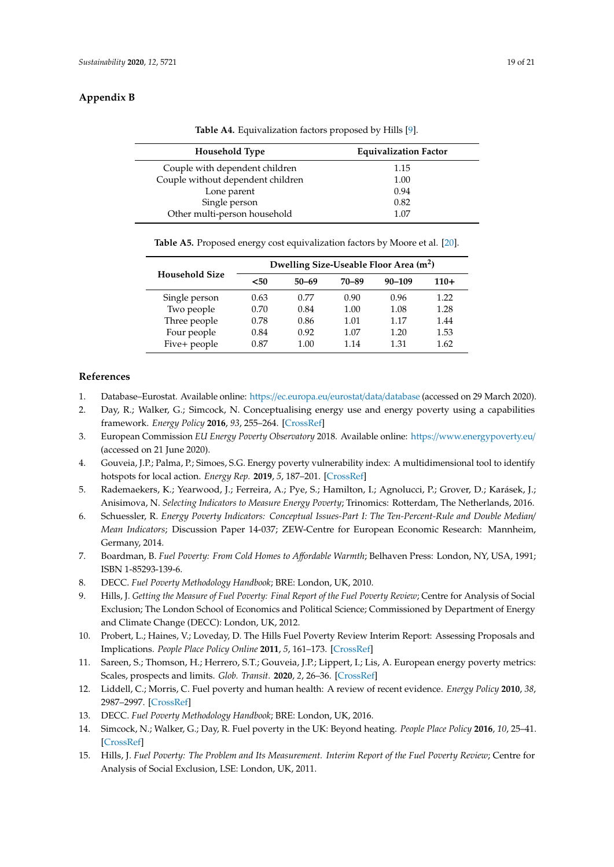## <span id="page-18-16"></span><span id="page-18-15"></span>**Appendix B**

|  | Table A4. Equivalization factors proposed by Hills [9]. |  |  |
|--|---------------------------------------------------------|--|--|
|--|---------------------------------------------------------|--|--|

| <b>Household Type</b>             | <b>Equivalization Factor</b> |  |  |
|-----------------------------------|------------------------------|--|--|
| Couple with dependent children    | 1.15                         |  |  |
| Couple without dependent children | 1.00                         |  |  |
| Lone parent                       | 0.94                         |  |  |
| Single person                     | 0.82                         |  |  |
| Other multi-person household      | 1.07                         |  |  |

**Table A5.** Proposed energy cost equivalization factors by Moore et al. [\[20\]](#page-19-4).

<span id="page-18-17"></span>

|                       | Dwelling Size-Useable Floor Area (m <sup>2</sup> ) |           |       |            |        |
|-----------------------|----------------------------------------------------|-----------|-------|------------|--------|
| <b>Household Size</b> | $50$                                               | $50 - 69$ | 70-89 | $90 - 109$ | $110+$ |
| Single person         | 0.63                                               | 0.77      | 0.90  | 0.96       | 1.22   |
| Two people            | 0.70                                               | 0.84      | 1.00  | 1.08       | 1.28   |
| Three people          | 0.78                                               | 0.86      | 1.01  | 1.17       | 1.44   |
| Four people           | 0.84                                               | 0.92      | 1.07  | 1.20       | 1.53   |
| Five+ people          | 0.87                                               | 1.00      | 1.14  | 1.31       | 1.62   |

## **References**

- <span id="page-18-0"></span>1. Database–Eurostat. Available online: https://[ec.europa.eu](https://ec.europa.eu/eurostat/data/database)/eurostat/data/database (accessed on 29 March 2020).
- <span id="page-18-1"></span>2. Day, R.; Walker, G.; Simcock, N. Conceptualising energy use and energy poverty using a capabilities framework. *Energy Policy* **2016**, *93*, 255–264. [\[CrossRef\]](http://dx.doi.org/10.1016/j.enpol.2016.03.019)
- <span id="page-18-2"></span>3. European Commission *EU Energy Poverty Observatory* 2018. Available online: https://[www.energypoverty.eu](https://www.energypoverty.eu/)/ (accessed on 21 June 2020).
- <span id="page-18-3"></span>4. Gouveia, J.P.; Palma, P.; Simoes, S.G. Energy poverty vulnerability index: A multidimensional tool to identify hotspots for local action. *Energy Rep.* **2019**, *5*, 187–201. [\[CrossRef\]](http://dx.doi.org/10.1016/j.egyr.2018.12.004)
- <span id="page-18-14"></span>5. Rademaekers, K.; Yearwood, J.; Ferreira, A.; Pye, S.; Hamilton, I.; Agnolucci, P.; Grover, D.; Karásek, J.; Anisimova, N. *Selecting Indicators to Measure Energy Poverty*; Trinomics: Rotterdam, The Netherlands, 2016.
- <span id="page-18-4"></span>6. Schuessler, R. *Energy Poverty Indicators: Conceptual Issues-Part I: The Ten-Percent-Rule and Double Median*/ *Mean Indicators*; Discussion Paper 14-037; ZEW-Centre for European Economic Research: Mannheim, Germany, 2014.
- <span id="page-18-5"></span>7. Boardman, B. *Fuel Poverty: From Cold Homes to A*ff*ordable Warmth*; Belhaven Press: London, NY, USA, 1991; ISBN 1-85293-139-6.
- <span id="page-18-6"></span>8. DECC. *Fuel Poverty Methodology Handbook*; BRE: London, UK, 2010.
- <span id="page-18-7"></span>9. Hills, J. *Getting the Measure of Fuel Poverty: Final Report of the Fuel Poverty Review*; Centre for Analysis of Social Exclusion; The London School of Economics and Political Science; Commissioned by Department of Energy and Climate Change (DECC): London, UK, 2012.
- <span id="page-18-8"></span>10. Probert, L.; Haines, V.; Loveday, D. The Hills Fuel Poverty Review Interim Report: Assessing Proposals and Implications. *People Place Policy Online* **2011**, *5*, 161–173. [\[CrossRef\]](http://dx.doi.org/10.3351/ppp.0005.0003.0004)
- <span id="page-18-9"></span>11. Sareen, S.; Thomson, H.; Herrero, S.T.; Gouveia, J.P.; Lippert, I.; Lis, A. European energy poverty metrics: Scales, prospects and limits. *Glob. Transit.* **2020**, *2*, 26–36. [\[CrossRef\]](http://dx.doi.org/10.1016/j.glt.2020.01.003)
- <span id="page-18-10"></span>12. Liddell, C.; Morris, C. Fuel poverty and human health: A review of recent evidence. *Energy Policy* **2010**, *38*, 2987–2997. [\[CrossRef\]](http://dx.doi.org/10.1016/j.enpol.2010.01.037)
- <span id="page-18-11"></span>13. DECC. *Fuel Poverty Methodology Handbook*; BRE: London, UK, 2016.
- <span id="page-18-12"></span>14. Simcock, N.; Walker, G.; Day, R. Fuel poverty in the UK: Beyond heating. *People Place Policy* **2016**, *10*, 25–41. [\[CrossRef\]](http://dx.doi.org/10.3351/ppp.0010.0001.0003)
- <span id="page-18-13"></span>15. Hills, J. *Fuel Poverty: The Problem and Its Measurement. Interim Report of the Fuel Poverty Review*; Centre for Analysis of Social Exclusion, LSE: London, UK, 2011.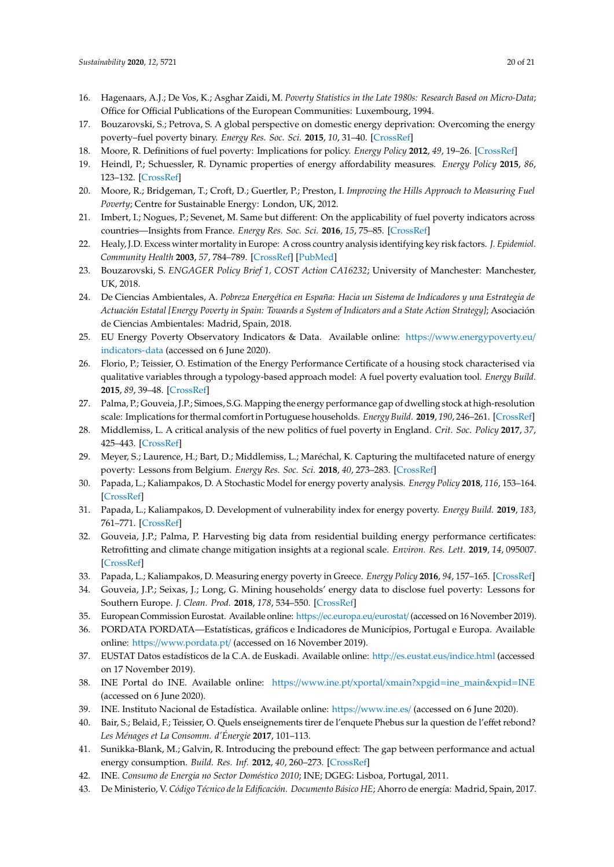- <span id="page-19-0"></span>16. Hagenaars, A.J.; De Vos, K.; Asghar Zaidi, M. *Poverty Statistics in the Late 1980s: Research Based on Micro-Data*; Office for Official Publications of the European Communities: Luxembourg, 1994.
- <span id="page-19-1"></span>17. Bouzarovski, S.; Petrova, S. A global perspective on domestic energy deprivation: Overcoming the energy poverty–fuel poverty binary. *Energy Res. Soc. Sci.* **2015**, *10*, 31–40. [\[CrossRef\]](http://dx.doi.org/10.1016/j.erss.2015.06.007)
- <span id="page-19-2"></span>18. Moore, R. Definitions of fuel poverty: Implications for policy. *Energy Policy* **2012**, *49*, 19–26. [\[CrossRef\]](http://dx.doi.org/10.1016/j.enpol.2012.01.057)
- <span id="page-19-3"></span>19. Heindl, P.; Schuessler, R. Dynamic properties of energy affordability measures. *Energy Policy* **2015**, *86*, 123–132. [\[CrossRef\]](http://dx.doi.org/10.1016/j.enpol.2015.06.044)
- <span id="page-19-4"></span>20. Moore, R.; Bridgeman, T.; Croft, D.; Guertler, P.; Preston, I. *Improving the Hills Approach to Measuring Fuel Poverty*; Centre for Sustainable Energy: London, UK, 2012.
- <span id="page-19-5"></span>21. Imbert, I.; Nogues, P.; Sevenet, M. Same but different: On the applicability of fuel poverty indicators across countries—Insights from France. *Energy Res. Soc. Sci.* **2016**, *15*, 75–85. [\[CrossRef\]](http://dx.doi.org/10.1016/j.erss.2016.03.002)
- <span id="page-19-6"></span>22. Healy, J.D. Excess winter mortality in Europe: A cross country analysis identifying key risk factors. *J. Epidemiol. Community Health* **2003**, *57*, 784–789. [\[CrossRef\]](http://dx.doi.org/10.1136/jech.57.10.784) [\[PubMed\]](http://www.ncbi.nlm.nih.gov/pubmed/14573581)
- <span id="page-19-7"></span>23. Bouzarovski, S. *ENGAGER Policy Brief 1, COST Action CA16232*; University of Manchester: Manchester, UK, 2018.
- <span id="page-19-8"></span>24. De Ciencias Ambientales, A. *Pobreza Energética en España: Hacia un Sistema de Indicadores y una Estrategia de Actuación Estatal [Energy Poverty in Spain: Towards a System of Indicators and a State Action Strategy]*; Asociación de Ciencias Ambientales: Madrid, Spain, 2018.
- <span id="page-19-9"></span>25. EU Energy Poverty Observatory Indicators & Data. Available online: https://[www.energypoverty.eu](https://www.energypoverty.eu/indicators-data)/ [indicators-data](https://www.energypoverty.eu/indicators-data) (accessed on 6 June 2020).
- <span id="page-19-10"></span>26. Florio, P.; Teissier, O. Estimation of the Energy Performance Certificate of a housing stock characterised via qualitative variables through a typology-based approach model: A fuel poverty evaluation tool. *Energy Build.* **2015**, *89*, 39–48. [\[CrossRef\]](http://dx.doi.org/10.1016/j.enbuild.2014.12.024)
- <span id="page-19-11"></span>27. Palma, P.; Gouveia, J.P.; Simoes, S.G. Mapping the energy performance gap of dwelling stock at high-resolution scale: Implications for thermal comfort in Portuguese households. *Energy Build.* **2019**, *190*, 246–261. [\[CrossRef\]](http://dx.doi.org/10.1016/j.enbuild.2019.03.002)
- <span id="page-19-12"></span>28. Middlemiss, L. A critical analysis of the new politics of fuel poverty in England. *Crit. Soc. Policy* **2017**, *37*, 425–443. [\[CrossRef\]](http://dx.doi.org/10.1177/0261018316674851)
- <span id="page-19-13"></span>29. Meyer, S.; Laurence, H.; Bart, D.; Middlemiss, L.; Maréchal, K. Capturing the multifaceted nature of energy poverty: Lessons from Belgium. *Energy Res. Soc. Sci.* **2018**, *40*, 273–283. [\[CrossRef\]](http://dx.doi.org/10.1016/j.erss.2018.01.017)
- <span id="page-19-14"></span>30. Papada, L.; Kaliampakos, D. A Stochastic Model for energy poverty analysis. *Energy Policy* **2018**, *116*, 153–164. [\[CrossRef\]](http://dx.doi.org/10.1016/j.enpol.2018.02.004)
- <span id="page-19-15"></span>31. Papada, L.; Kaliampakos, D. Development of vulnerability index for energy poverty. *Energy Build.* **2019**, *183*, 761–771. [\[CrossRef\]](http://dx.doi.org/10.1016/j.enbuild.2018.11.033)
- <span id="page-19-16"></span>32. Gouveia, J.P.; Palma, P. Harvesting big data from residential building energy performance certificates: Retrofitting and climate change mitigation insights at a regional scale. *Environ. Res. Lett.* **2019**, *14*, 095007. [\[CrossRef\]](http://dx.doi.org/10.1088/1748-9326/ab3781)
- <span id="page-19-17"></span>33. Papada, L.; Kaliampakos, D. Measuring energy poverty in Greece. *Energy Policy* **2016**, *94*, 157–165. [\[CrossRef\]](http://dx.doi.org/10.1016/j.enpol.2016.04.004)
- <span id="page-19-18"></span>34. Gouveia, J.P.; Seixas, J.; Long, G. Mining households' energy data to disclose fuel poverty: Lessons for Southern Europe. *J. Clean. Prod.* **2018**, *178*, 534–550. [\[CrossRef\]](http://dx.doi.org/10.1016/j.jclepro.2018.01.021)
- <span id="page-19-19"></span>35. European Commission Eurostat. Available online: https://[ec.europa.eu](https://ec.europa.eu/eurostat/)/eurostat/ (accessed on 16 November 2019).
- <span id="page-19-20"></span>36. PORDATA PORDATA—Estatísticas, gráficos e Indicadores de Municípios, Portugal e Europa. Available online: https://[www.pordata.pt](https://www.pordata.pt/)/ (accessed on 16 November 2019).
- <span id="page-19-21"></span>37. EUSTAT Datos estadísticos de la C.A. de Euskadi. Available online: http://[es.eustat.eus](http://es.eustat.eus/indice.html)/indice.html (accessed on 17 November 2019).
- <span id="page-19-22"></span>38. INE Portal do INE. Available online: https://www.ine.pt/xportal/xmain?xpgid=[ine\\_main&xpid](https://www.ine.pt/xportal/xmain?xpgid=ine_main&xpid=INE)=INE (accessed on 6 June 2020).
- <span id="page-19-23"></span>39. INE. Instituto Nacional de Estadística. Available online: https://[www.ine.es](https://www.ine.es/)/ (accessed on 6 June 2020).
- <span id="page-19-24"></span>40. Bair, S.; Belaid, F.; Teissier, O. Quels enseignements tirer de l'enquete Phebus sur la question de l'effet rebond? *Les Ménages et La Consomm. d'Énergie* **2017**, 101–113.
- <span id="page-19-25"></span>41. Sunikka-Blank, M.; Galvin, R. Introducing the prebound effect: The gap between performance and actual energy consumption. *Build. Res. Inf.* **2012**, *40*, 260–273. [\[CrossRef\]](http://dx.doi.org/10.1080/09613218.2012.690952)
- <span id="page-19-26"></span>42. INE. *Consumo de Energia no Sector Doméstico 2010*; INE; DGEG: Lisboa, Portugal, 2011.
- <span id="page-19-27"></span>43. De Ministerio, V. *Código Técnico de la Edificación. Documento Básico HE*; Ahorro de energía: Madrid, Spain, 2017.